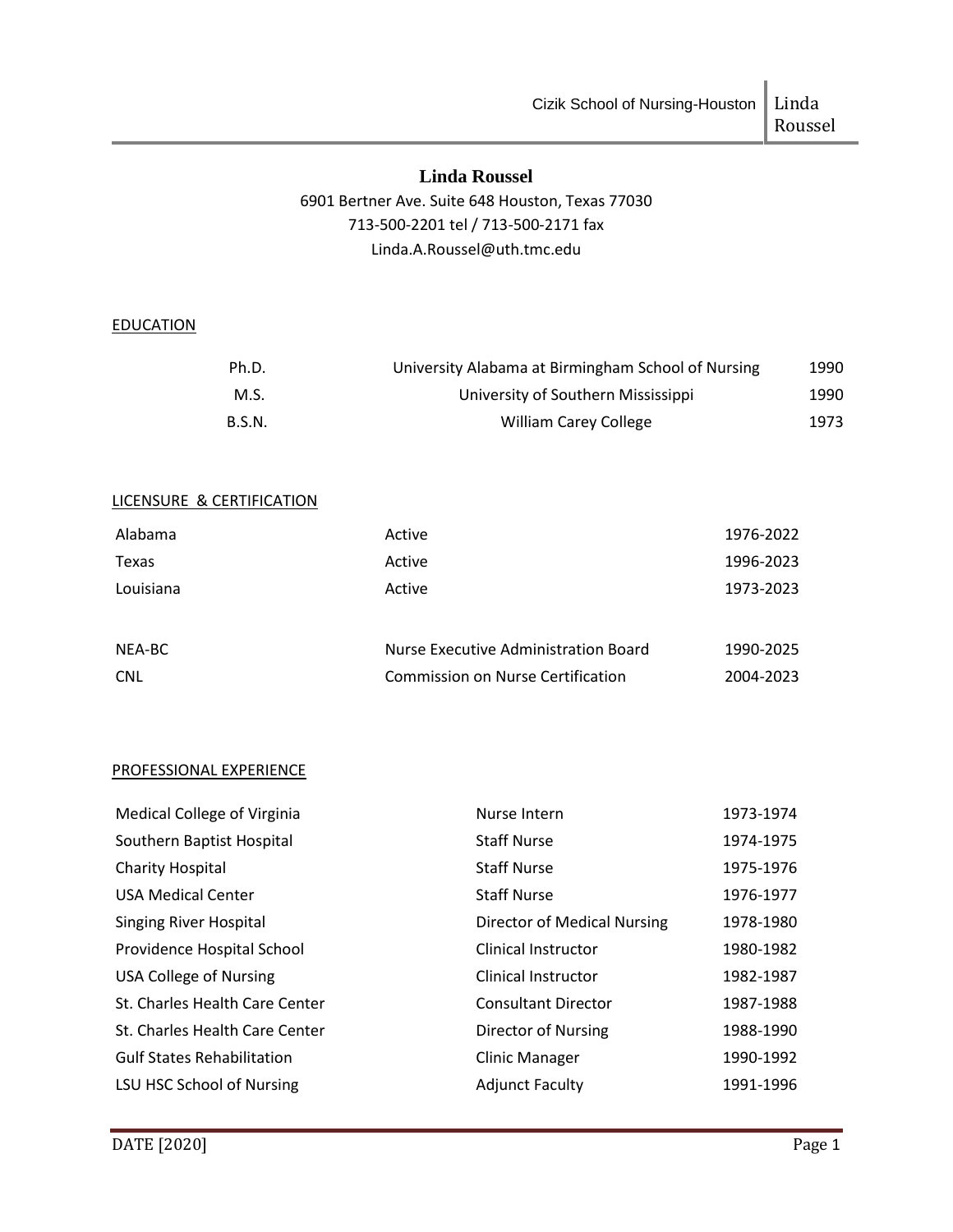# **Linda Roussel**

# 6901 Bertner Ave. Suite 648 Houston, Texas 77030 713-500-2201 tel / 713-500-2171 fax Linda.A.Roussel@uth.tmc.edu

## **EDUCATION**

| Ph.D.         | University Alabama at Birmingham School of Nursing | 1990 |
|---------------|----------------------------------------------------|------|
| M.S.          | University of Southern Mississippi                 | 1990 |
| <b>B.S.N.</b> | William Carey College                              | 1973 |

# LICENSURE & CERTIFICATION

| Alabama    | Active                                   | 1976-2022 |
|------------|------------------------------------------|-----------|
| Texas      | Active                                   | 1996-2023 |
| Louisiana  | Active                                   | 1973-2023 |
|            |                                          |           |
| NEA-BC     | Nurse Executive Administration Board     | 1990-2025 |
| <b>CNL</b> | <b>Commission on Nurse Certification</b> | 2004-2023 |

#### PROFESSIONAL EXPERIENCE

| Medical College of Virginia       | Nurse Intern                | 1973-1974 |
|-----------------------------------|-----------------------------|-----------|
| Southern Baptist Hospital         | <b>Staff Nurse</b>          | 1974-1975 |
| <b>Charity Hospital</b>           | <b>Staff Nurse</b>          | 1975-1976 |
| <b>USA Medical Center</b>         | <b>Staff Nurse</b>          | 1976-1977 |
| <b>Singing River Hospital</b>     | Director of Medical Nursing | 1978-1980 |
| Providence Hospital School        | <b>Clinical Instructor</b>  | 1980-1982 |
| <b>USA College of Nursing</b>     | <b>Clinical Instructor</b>  | 1982-1987 |
| St. Charles Health Care Center    | <b>Consultant Director</b>  | 1987-1988 |
| St. Charles Health Care Center    | Director of Nursing         | 1988-1990 |
| <b>Gulf States Rehabilitation</b> | <b>Clinic Manager</b>       | 1990-1992 |
| LSU HSC School of Nursing         | <b>Adjunct Faculty</b>      | 1991-1996 |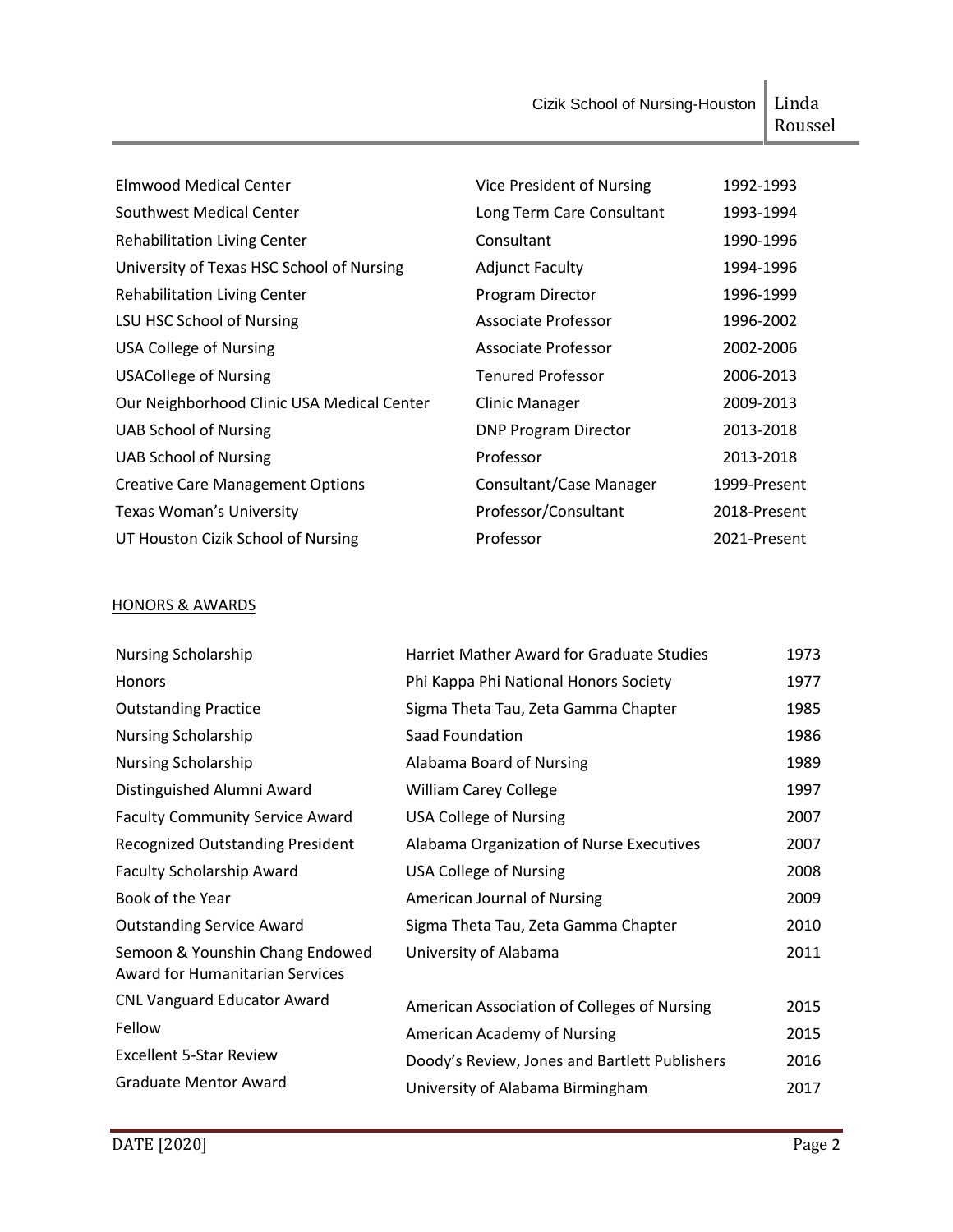Cizik School of Nursing-Houston | Linda

| Linda   |  |
|---------|--|
| Roussel |  |

| Elmwood Medical Center                     | Vice President of Nursing   | 1992-1993    |
|--------------------------------------------|-----------------------------|--------------|
| Southwest Medical Center                   | Long Term Care Consultant   | 1993-1994    |
| <b>Rehabilitation Living Center</b>        | Consultant                  | 1990-1996    |
| University of Texas HSC School of Nursing  | <b>Adjunct Faculty</b>      | 1994-1996    |
| <b>Rehabilitation Living Center</b>        | Program Director            | 1996-1999    |
| LSU HSC School of Nursing                  | Associate Professor         | 1996-2002    |
| <b>USA College of Nursing</b>              | Associate Professor         | 2002-2006    |
| <b>USACollege of Nursing</b>               | <b>Tenured Professor</b>    | 2006-2013    |
| Our Neighborhood Clinic USA Medical Center | <b>Clinic Manager</b>       | 2009-2013    |
| <b>UAB School of Nursing</b>               | <b>DNP Program Director</b> | 2013-2018    |
| <b>UAB School of Nursing</b>               | Professor                   | 2013-2018    |
| <b>Creative Care Management Options</b>    | Consultant/Case Manager     | 1999-Present |
| <b>Texas Woman's University</b>            | Professor/Consultant        | 2018-Present |
| UT Houston Cizik School of Nursing         | Professor                   | 2021-Present |

# HONORS & AWARDS

| <b>Nursing Scholarship</b>                                                | <b>Harriet Mather Award for Graduate Studies</b> | 1973 |
|---------------------------------------------------------------------------|--------------------------------------------------|------|
| Honors                                                                    | Phi Kappa Phi National Honors Society            | 1977 |
| <b>Outstanding Practice</b>                                               | Sigma Theta Tau, Zeta Gamma Chapter              | 1985 |
| <b>Nursing Scholarship</b>                                                | Saad Foundation                                  | 1986 |
| <b>Nursing Scholarship</b>                                                | Alabama Board of Nursing                         | 1989 |
| Distinguished Alumni Award                                                | <b>William Carey College</b>                     | 1997 |
| <b>Faculty Community Service Award</b>                                    | <b>USA College of Nursing</b>                    | 2007 |
| <b>Recognized Outstanding President</b>                                   | Alabama Organization of Nurse Executives         | 2007 |
| <b>Faculty Scholarship Award</b>                                          | <b>USA College of Nursing</b>                    | 2008 |
| Book of the Year                                                          | American Journal of Nursing                      | 2009 |
| <b>Outstanding Service Award</b>                                          | Sigma Theta Tau, Zeta Gamma Chapter              | 2010 |
| Semoon & Younshin Chang Endowed<br><b>Award for Humanitarian Services</b> | University of Alabama                            | 2011 |
| <b>CNL Vanguard Educator Award</b>                                        | American Association of Colleges of Nursing      | 2015 |
| Fellow                                                                    | American Academy of Nursing                      | 2015 |
| <b>Excellent 5-Star Review</b>                                            | Doody's Review, Jones and Bartlett Publishers    | 2016 |
| <b>Graduate Mentor Award</b>                                              | University of Alabama Birmingham                 | 2017 |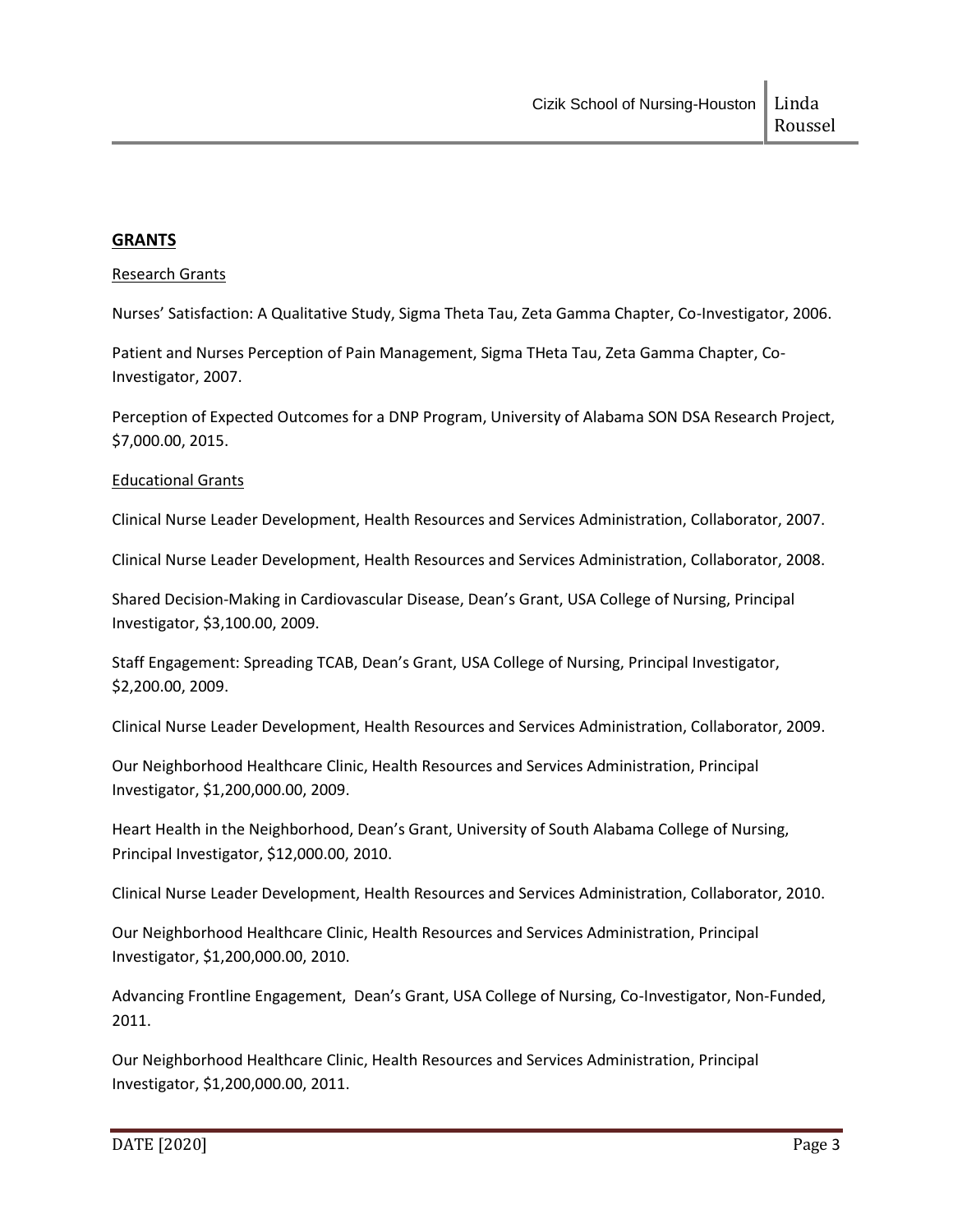# **GRANTS**

#### Research Grants

Nurses' Satisfaction: A Qualitative Study, Sigma Theta Tau, Zeta Gamma Chapter, Co-Investigator, 2006.

Patient and Nurses Perception of Pain Management, Sigma THeta Tau, Zeta Gamma Chapter, Co-Investigator, 2007.

Perception of Expected Outcomes for a DNP Program, University of Alabama SON DSA Research Project, \$7,000.00, 2015.

#### Educational Grants

Clinical Nurse Leader Development, Health Resources and Services Administration, Collaborator, 2007.

Clinical Nurse Leader Development, Health Resources and Services Administration, Collaborator, 2008.

Shared Decision-Making in Cardiovascular Disease, Dean's Grant, USA College of Nursing, Principal Investigator, \$3,100.00, 2009.

Staff Engagement: Spreading TCAB, Dean's Grant, USA College of Nursing, Principal Investigator, \$2,200.00, 2009.

Clinical Nurse Leader Development, Health Resources and Services Administration, Collaborator, 2009.

Our Neighborhood Healthcare Clinic, Health Resources and Services Administration, Principal Investigator, \$1,200,000.00, 2009.

Heart Health in the Neighborhood, Dean's Grant, University of South Alabama College of Nursing, Principal Investigator, \$12,000.00, 2010.

Clinical Nurse Leader Development, Health Resources and Services Administration, Collaborator, 2010.

Our Neighborhood Healthcare Clinic, Health Resources and Services Administration, Principal Investigator, \$1,200,000.00, 2010.

Advancing Frontline Engagement, Dean's Grant, USA College of Nursing, Co-Investigator, Non-Funded, 2011.

Our Neighborhood Healthcare Clinic, Health Resources and Services Administration, Principal Investigator, \$1,200,000.00, 2011.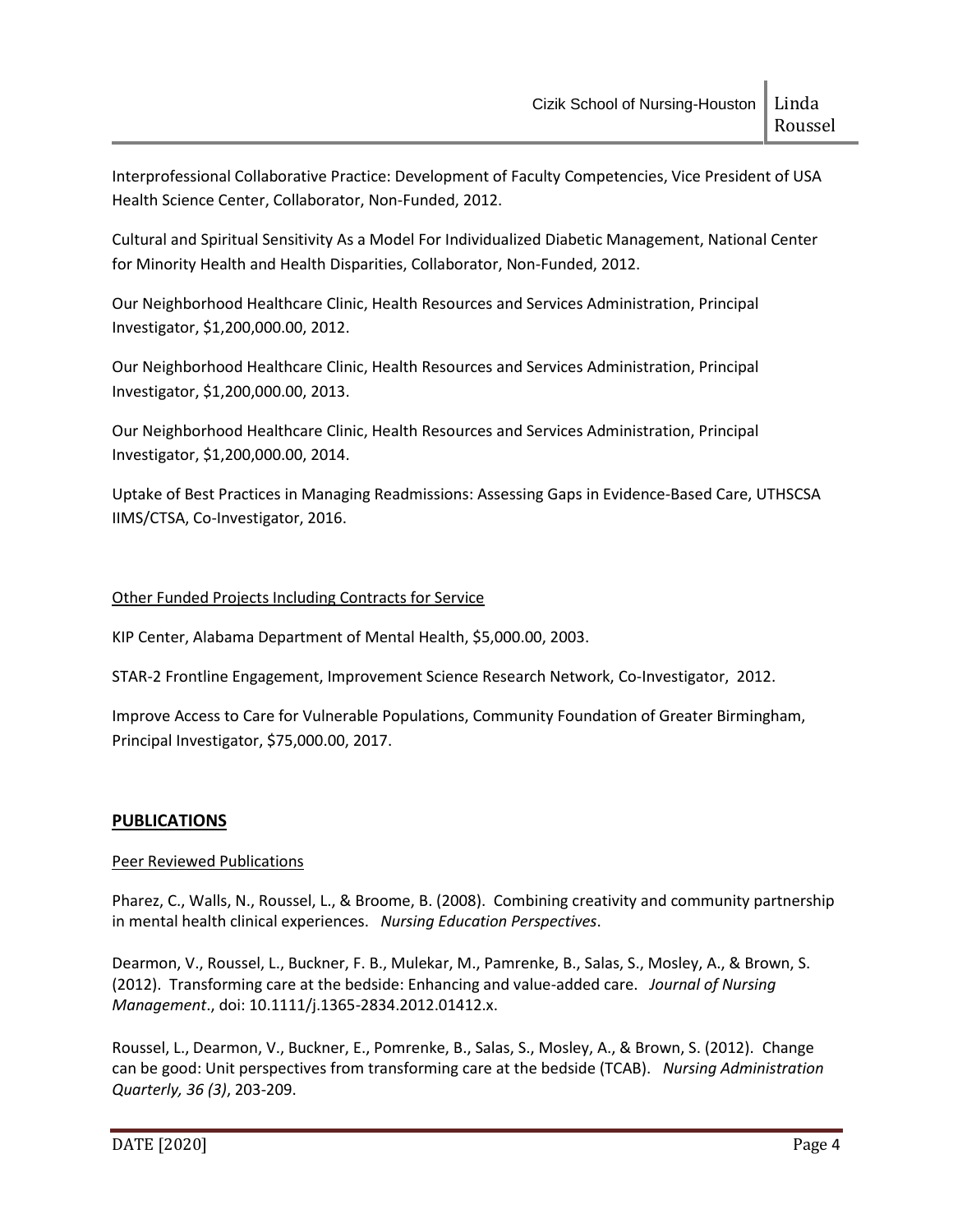Interprofessional Collaborative Practice: Development of Faculty Competencies, Vice President of USA Health Science Center, Collaborator, Non-Funded, 2012.

Cultural and Spiritual Sensitivity As a Model For Individualized Diabetic Management, National Center for Minority Health and Health Disparities, Collaborator, Non-Funded, 2012.

Our Neighborhood Healthcare Clinic, Health Resources and Services Administration, Principal Investigator, \$1,200,000.00, 2012.

Our Neighborhood Healthcare Clinic, Health Resources and Services Administration, Principal Investigator, \$1,200,000.00, 2013.

Our Neighborhood Healthcare Clinic, Health Resources and Services Administration, Principal Investigator, \$1,200,000.00, 2014.

Uptake of Best Practices in Managing Readmissions: Assessing Gaps in Evidence-Based Care, UTHSCSA IIMS/CTSA, Co-Investigator, 2016.

# Other Funded Projects Including Contracts for Service

KIP Center, Alabama Department of Mental Health, \$5,000.00, 2003.

STAR-2 Frontline Engagement, Improvement Science Research Network, Co-Investigator, 2012.

Improve Access to Care for Vulnerable Populations, Community Foundation of Greater Birmingham, Principal Investigator, \$75,000.00, 2017.

# **PUBLICATIONS**

## Peer Reviewed Publications

Pharez, C., Walls, N., Roussel, L., & Broome, B. (2008). Combining creativity and community partnership in mental health clinical experiences. *Nursing Education Perspectives*.

Dearmon, V., Roussel, L., Buckner, F. B., Mulekar, M., Pamrenke, B., Salas, S., Mosley, A., & Brown, S. (2012). Transforming care at the bedside: Enhancing and value-added care. *Journal of Nursing Management*., doi: 10.1111/j.1365-2834.2012.01412.x.

Roussel, L., Dearmon, V., Buckner, E., Pomrenke, B., Salas, S., Mosley, A., & Brown, S. (2012). Change can be good: Unit perspectives from transforming care at the bedside (TCAB). *Nursing Administration Quarterly, 36 (3)*, 203-209.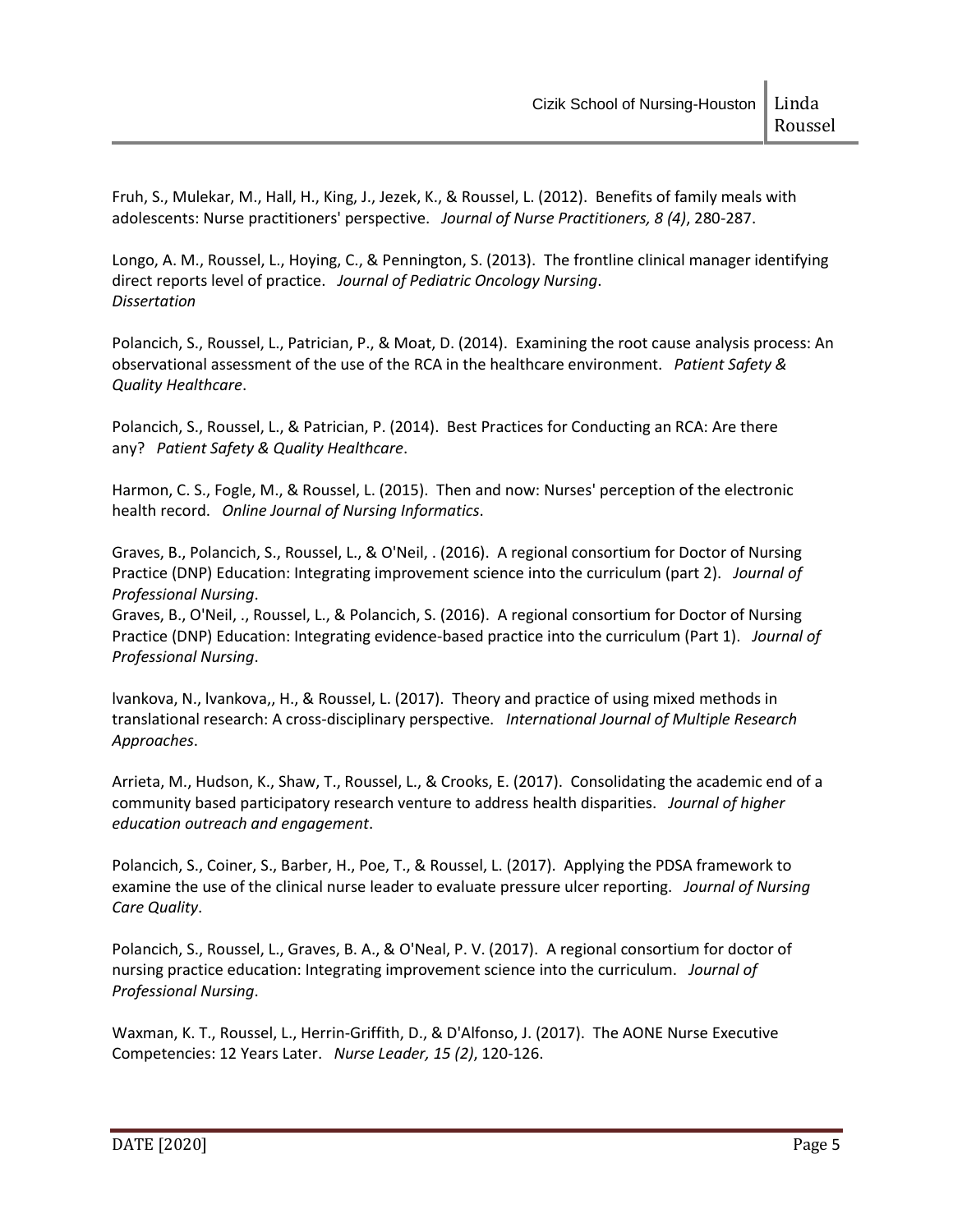Fruh, S., Mulekar, M., Hall, H., King, J., Jezek, K., & Roussel, L. (2012). Benefits of family meals with adolescents: Nurse practitioners' perspective. *Journal of Nurse Practitioners, 8 (4)*, 280-287.

Longo, A. M., Roussel, L., Hoying, C., & Pennington, S. (2013). The frontline clinical manager identifying direct reports level of practice. *Journal of Pediatric Oncology Nursing*. *Dissertation*

Polancich, S., Roussel, L., Patrician, P., & Moat, D. (2014). Examining the root cause analysis process: An observational assessment of the use of the RCA in the healthcare environment. *Patient Safety & Quality Healthcare*.

Polancich, S., Roussel, L., & Patrician, P. (2014). Best Practices for Conducting an RCA: Are there any? *Patient Safety & Quality Healthcare*.

Harmon, C. S., Fogle, M., & Roussel, L. (2015). Then and now: Nurses' perception of the electronic health record. *Online Journal of Nursing Informatics*.

Graves, B., Polancich, S., Roussel, L., & O'Neil, . (2016). A regional consortium for Doctor of Nursing Practice (DNP) Education: Integrating improvement science into the curriculum (part 2). *Journal of Professional Nursing*.

Graves, B., O'Neil, ., Roussel, L., & Polancich, S. (2016). A regional consortium for Doctor of Nursing Practice (DNP) Education: Integrating evidence-based practice into the curriculum (Part 1). *Journal of Professional Nursing*.

lvankova, N., lvankova,, H., & Roussel, L. (2017). Theory and practice of using mixed methods in translational research: A cross-disciplinary perspective. *International Journal of Multiple Research Approaches*.

Arrieta, M., Hudson, K., Shaw, T., Roussel, L., & Crooks, E. (2017). Consolidating the academic end of a community based participatory research venture to address health disparities. *Journal of higher education outreach and engagement*.

Polancich, S., Coiner, S., Barber, H., Poe, T., & Roussel, L. (2017). Applying the PDSA framework to examine the use of the clinical nurse leader to evaluate pressure ulcer reporting. *Journal of Nursing Care Quality*.

Polancich, S., Roussel, L., Graves, B. A., & O'Neal, P. V. (2017). A regional consortium for doctor of nursing practice education: Integrating improvement science into the curriculum. *Journal of Professional Nursing*.

Waxman, K. T., Roussel, L., Herrin-Griffith, D., & D'Alfonso, J. (2017). The AONE Nurse Executive Competencies: 12 Years Later. *Nurse Leader, 15 (2)*, 120-126.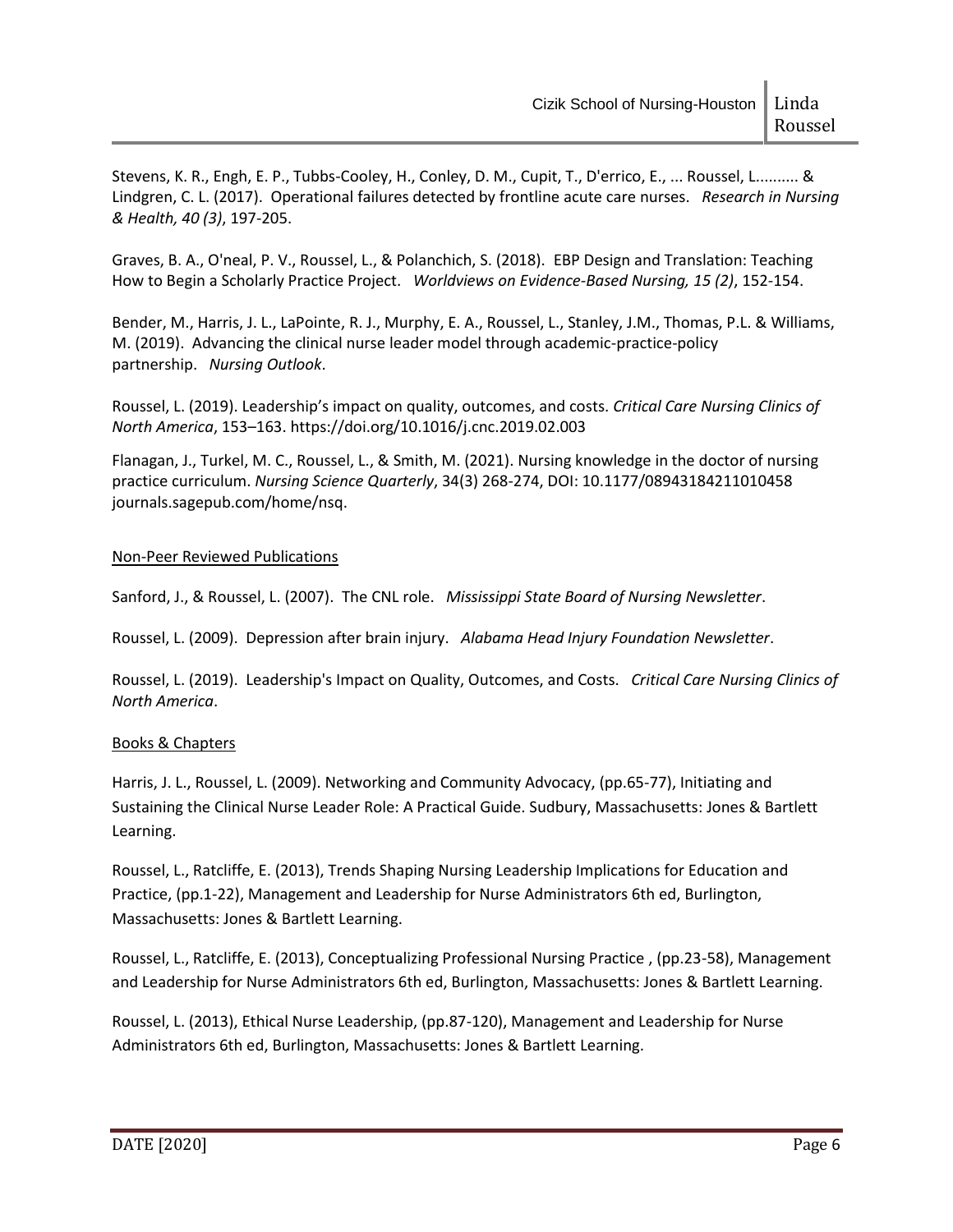Stevens, K. R., Engh, E. P., Tubbs-Cooley, H., Conley, D. M., Cupit, T., D'errico, E., ... Roussel, L.......... & Lindgren, C. L. (2017). Operational failures detected by frontline acute care nurses. *Research in Nursing & Health, 40 (3)*, 197-205.

Graves, B. A., O'neal, P. V., Roussel, L., & Polanchich, S. (2018). EBP Design and Translation: Teaching How to Begin a Scholarly Practice Project. *Worldviews on Evidence-Based Nursing, 15 (2)*, 152-154.

Bender, M., Harris, J. L., LaPointe, R. J., Murphy, E. A., Roussel, L., Stanley, J.M., Thomas, P.L. & Williams, M. (2019). Advancing the clinical nurse leader model through academic-practice-policy partnership. *Nursing Outlook*.

Roussel, L. (2019). Leadership's impact on quality, outcomes, and costs. *Critical Care Nursing Clinics of North America*, 153–163. https://doi.org/10.1016/j.cnc.2019.02.003

Flanagan, J., Turkel, M. C., Roussel, L., & Smith, M. (2021). Nursing knowledge in the doctor of nursing practice curriculum. *Nursing Science Quarterly*, 34(3) 268-274, DOI: 10.1177/08943184211010458 journals.sagepub.com/home/nsq.

## Non-Peer Reviewed Publications

Sanford, J., & Roussel, L. (2007). The CNL role. *Mississippi State Board of Nursing Newsletter*.

Roussel, L. (2009). Depression after brain injury. *Alabama Head Injury Foundation Newsletter*.

Roussel, L. (2019). Leadership's Impact on Quality, Outcomes, and Costs. *Critical Care Nursing Clinics of North America*.

## Books & Chapters

Harris, J. L., Roussel, L. (2009). Networking and Community Advocacy, (pp.65-77), Initiating and Sustaining the Clinical Nurse Leader Role: A Practical Guide. Sudbury, Massachusetts: Jones & Bartlett Learning.

Roussel, L., Ratcliffe, E. (2013), Trends Shaping Nursing Leadership Implications for Education and Practice, (pp.1-22), Management and Leadership for Nurse Administrators 6th ed, Burlington, Massachusetts: Jones & Bartlett Learning.

Roussel, L., Ratcliffe, E. (2013), Conceptualizing Professional Nursing Practice , (pp.23-58), Management and Leadership for Nurse Administrators 6th ed, Burlington, Massachusetts: Jones & Bartlett Learning.

Roussel, L. (2013), Ethical Nurse Leadership, (pp.87-120), Management and Leadership for Nurse Administrators 6th ed, Burlington, Massachusetts: Jones & Bartlett Learning.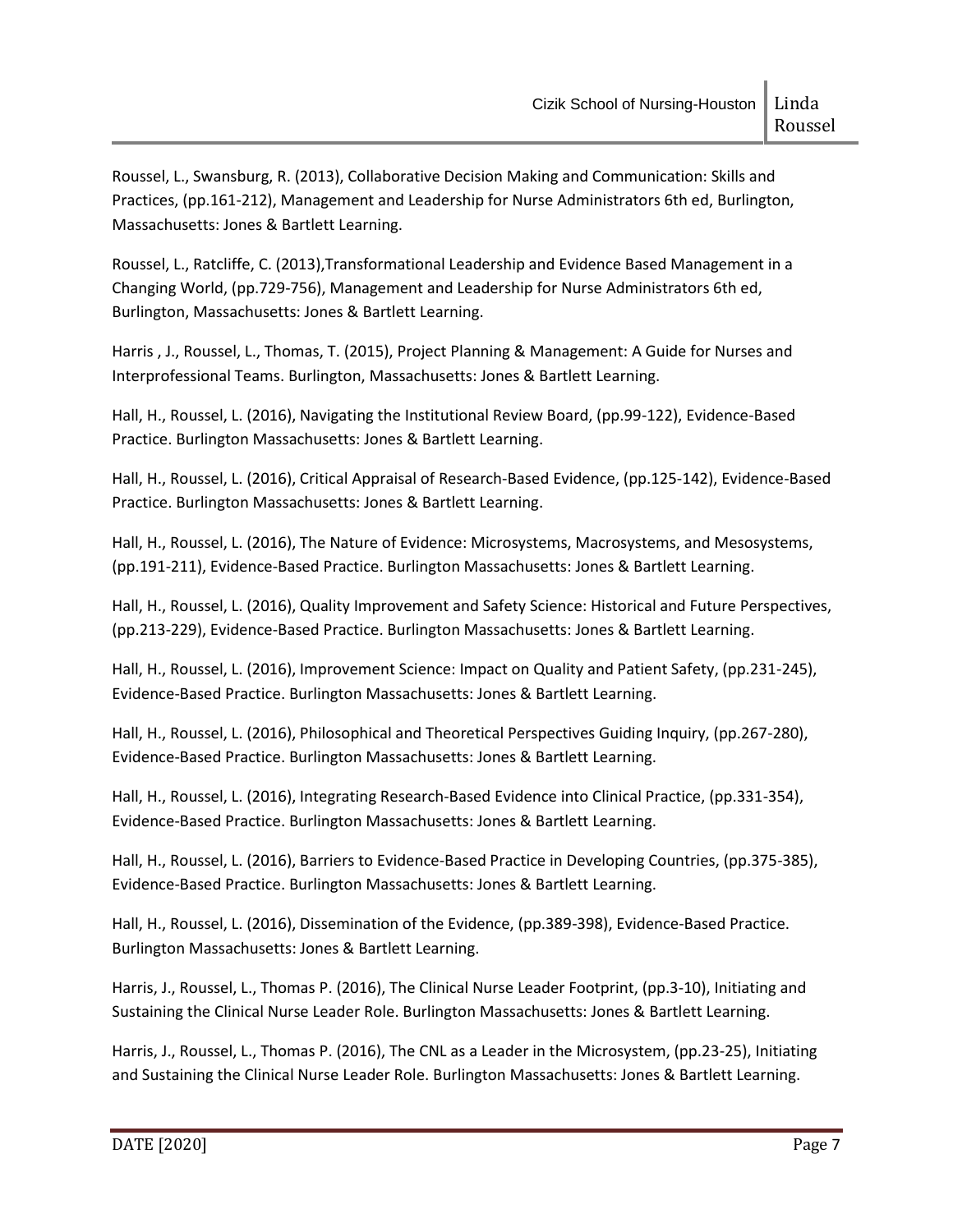Roussel, L., Swansburg, R. (2013), Collaborative Decision Making and Communication: Skills and Practices, (pp.161-212), Management and Leadership for Nurse Administrators 6th ed, Burlington, Massachusetts: Jones & Bartlett Learning.

Roussel, L., Ratcliffe, C. (2013),Transformational Leadership and Evidence Based Management in a Changing World, (pp.729-756), Management and Leadership for Nurse Administrators 6th ed, Burlington, Massachusetts: Jones & Bartlett Learning.

Harris , J., Roussel, L., Thomas, T. (2015), Project Planning & Management: A Guide for Nurses and Interprofessional Teams. Burlington, Massachusetts: Jones & Bartlett Learning.

Hall, H., Roussel, L. (2016), Navigating the Institutional Review Board, (pp.99-122), Evidence-Based Practice. Burlington Massachusetts: Jones & Bartlett Learning.

Hall, H., Roussel, L. (2016), Critical Appraisal of Research-Based Evidence, (pp.125-142), Evidence-Based Practice. Burlington Massachusetts: Jones & Bartlett Learning.

Hall, H., Roussel, L. (2016), The Nature of Evidence: Microsystems, Macrosystems, and Mesosystems, (pp.191-211), Evidence-Based Practice. Burlington Massachusetts: Jones & Bartlett Learning.

Hall, H., Roussel, L. (2016), Quality Improvement and Safety Science: Historical and Future Perspectives, (pp.213-229), Evidence-Based Practice. Burlington Massachusetts: Jones & Bartlett Learning.

Hall, H., Roussel, L. (2016), Improvement Science: Impact on Quality and Patient Safety, (pp.231-245), Evidence-Based Practice. Burlington Massachusetts: Jones & Bartlett Learning.

Hall, H., Roussel, L. (2016), Philosophical and Theoretical Perspectives Guiding Inquiry, (pp.267-280), Evidence-Based Practice. Burlington Massachusetts: Jones & Bartlett Learning.

Hall, H., Roussel, L. (2016), Integrating Research-Based Evidence into Clinical Practice, (pp.331-354), Evidence-Based Practice. Burlington Massachusetts: Jones & Bartlett Learning.

Hall, H., Roussel, L. (2016), Barriers to Evidence-Based Practice in Developing Countries, (pp.375-385), Evidence-Based Practice. Burlington Massachusetts: Jones & Bartlett Learning.

Hall, H., Roussel, L. (2016), Dissemination of the Evidence, (pp.389-398), Evidence-Based Practice. Burlington Massachusetts: Jones & Bartlett Learning.

Harris, J., Roussel, L., Thomas P. (2016), The Clinical Nurse Leader Footprint, (pp.3-10), Initiating and Sustaining the Clinical Nurse Leader Role. Burlington Massachusetts: Jones & Bartlett Learning.

Harris, J., Roussel, L., Thomas P. (2016), The CNL as a Leader in the Microsystem, (pp.23-25), Initiating and Sustaining the Clinical Nurse Leader Role. Burlington Massachusetts: Jones & Bartlett Learning.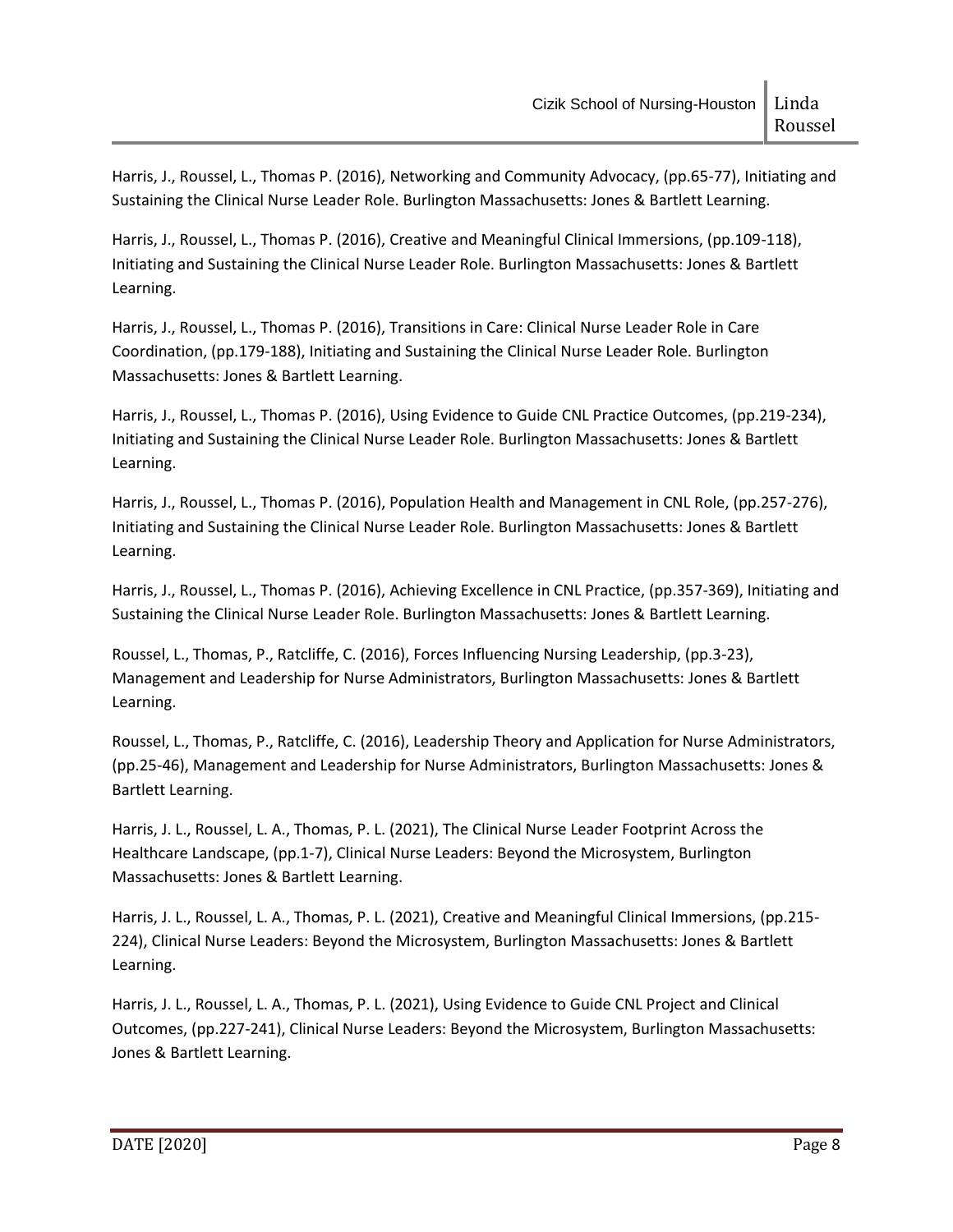Harris, J., Roussel, L., Thomas P. (2016), Networking and Community Advocacy, (pp.65-77), Initiating and Sustaining the Clinical Nurse Leader Role. Burlington Massachusetts: Jones & Bartlett Learning.

Harris, J., Roussel, L., Thomas P. (2016), Creative and Meaningful Clinical Immersions, (pp.109-118), Initiating and Sustaining the Clinical Nurse Leader Role. Burlington Massachusetts: Jones & Bartlett Learning.

Harris, J., Roussel, L., Thomas P. (2016), Transitions in Care: Clinical Nurse Leader Role in Care Coordination, (pp.179-188), Initiating and Sustaining the Clinical Nurse Leader Role. Burlington Massachusetts: Jones & Bartlett Learning.

Harris, J., Roussel, L., Thomas P. (2016), Using Evidence to Guide CNL Practice Outcomes, (pp.219-234), Initiating and Sustaining the Clinical Nurse Leader Role. Burlington Massachusetts: Jones & Bartlett Learning.

Harris, J., Roussel, L., Thomas P. (2016), Population Health and Management in CNL Role, (pp.257-276), Initiating and Sustaining the Clinical Nurse Leader Role. Burlington Massachusetts: Jones & Bartlett Learning.

Harris, J., Roussel, L., Thomas P. (2016), Achieving Excellence in CNL Practice, (pp.357-369), Initiating and Sustaining the Clinical Nurse Leader Role. Burlington Massachusetts: Jones & Bartlett Learning.

Roussel, L., Thomas, P., Ratcliffe, C. (2016), Forces Influencing Nursing Leadership, (pp.3-23), Management and Leadership for Nurse Administrators, Burlington Massachusetts: Jones & Bartlett Learning.

Roussel, L., Thomas, P., Ratcliffe, C. (2016), Leadership Theory and Application for Nurse Administrators, (pp.25-46), Management and Leadership for Nurse Administrators, Burlington Massachusetts: Jones & Bartlett Learning.

Harris, J. L., Roussel, L. A., Thomas, P. L. (2021), The Clinical Nurse Leader Footprint Across the Healthcare Landscape, (pp.1-7), Clinical Nurse Leaders: Beyond the Microsystem, Burlington Massachusetts: Jones & Bartlett Learning.

Harris, J. L., Roussel, L. A., Thomas, P. L. (2021), Creative and Meaningful Clinical Immersions, (pp.215- 224), Clinical Nurse Leaders: Beyond the Microsystem, Burlington Massachusetts: Jones & Bartlett Learning.

Harris, J. L., Roussel, L. A., Thomas, P. L. (2021), Using Evidence to Guide CNL Project and Clinical Outcomes, (pp.227-241), Clinical Nurse Leaders: Beyond the Microsystem, Burlington Massachusetts: Jones & Bartlett Learning.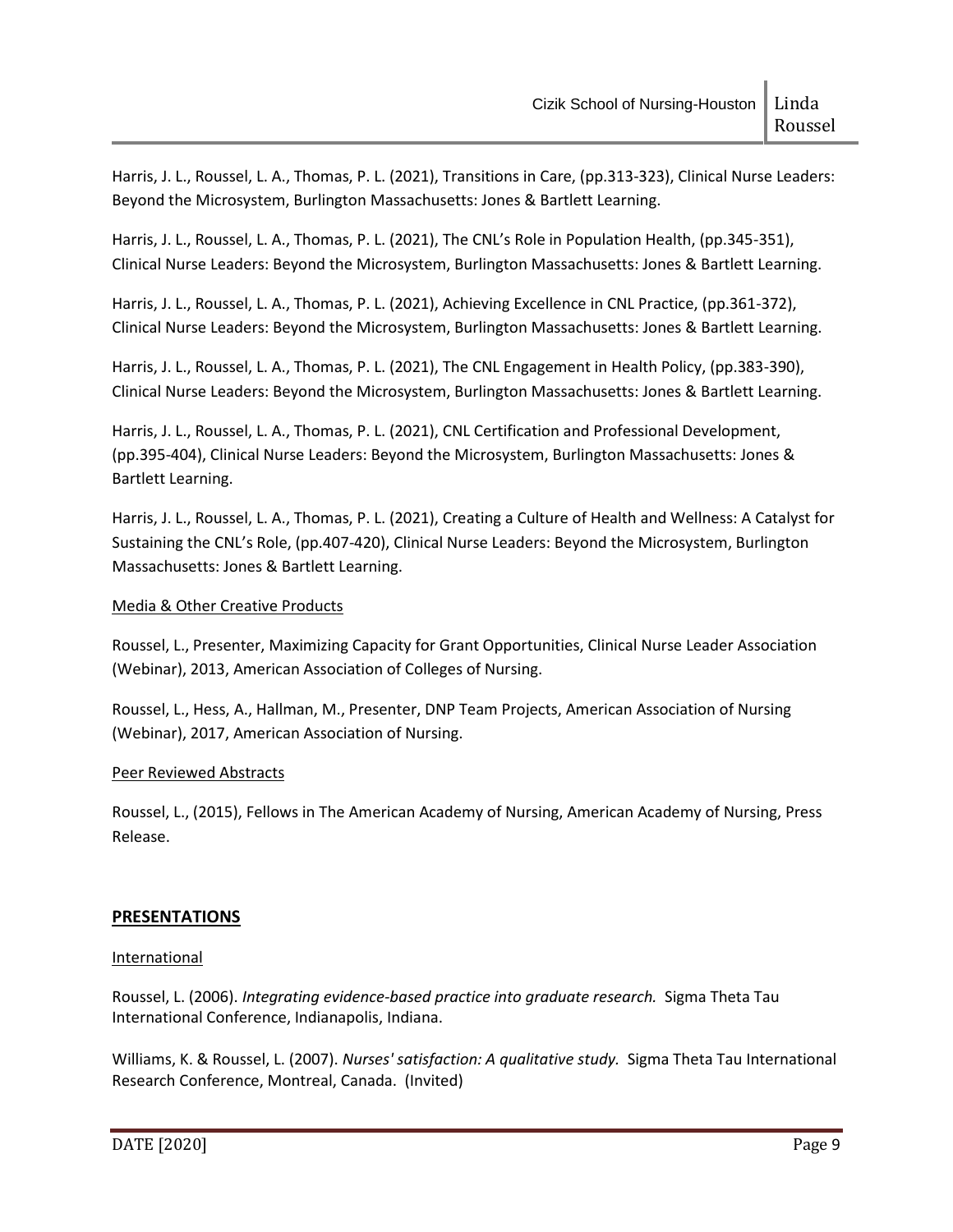Harris, J. L., Roussel, L. A., Thomas, P. L. (2021), Transitions in Care, (pp.313-323), Clinical Nurse Leaders: Beyond the Microsystem, Burlington Massachusetts: Jones & Bartlett Learning.

Harris, J. L., Roussel, L. A., Thomas, P. L. (2021), The CNL's Role in Population Health, (pp.345-351), Clinical Nurse Leaders: Beyond the Microsystem, Burlington Massachusetts: Jones & Bartlett Learning.

Harris, J. L., Roussel, L. A., Thomas, P. L. (2021), Achieving Excellence in CNL Practice, (pp.361-372), Clinical Nurse Leaders: Beyond the Microsystem, Burlington Massachusetts: Jones & Bartlett Learning.

Harris, J. L., Roussel, L. A., Thomas, P. L. (2021), The CNL Engagement in Health Policy, (pp.383-390), Clinical Nurse Leaders: Beyond the Microsystem, Burlington Massachusetts: Jones & Bartlett Learning.

Harris, J. L., Roussel, L. A., Thomas, P. L. (2021), CNL Certification and Professional Development, (pp.395-404), Clinical Nurse Leaders: Beyond the Microsystem, Burlington Massachusetts: Jones & Bartlett Learning.

Harris, J. L., Roussel, L. A., Thomas, P. L. (2021), Creating a Culture of Health and Wellness: A Catalyst for Sustaining the CNL's Role, (pp.407-420), Clinical Nurse Leaders: Beyond the Microsystem, Burlington Massachusetts: Jones & Bartlett Learning.

# Media & Other Creative Products

Roussel, L., Presenter, Maximizing Capacity for Grant Opportunities, Clinical Nurse Leader Association (Webinar), 2013, American Association of Colleges of Nursing.

Roussel, L., Hess, A., Hallman, M., Presenter, DNP Team Projects, American Association of Nursing (Webinar), 2017, American Association of Nursing.

## Peer Reviewed Abstracts

Roussel, L., (2015), Fellows in The American Academy of Nursing, American Academy of Nursing, Press Release.

# **PRESENTATIONS**

## International

Roussel, L. (2006). *Integrating evidence-based practice into graduate research.* Sigma Theta Tau International Conference, Indianapolis, Indiana.

Williams, K. & Roussel, L. (2007). *Nurses' satisfaction: A qualitative study.* Sigma Theta Tau International Research Conference, Montreal, Canada. (Invited)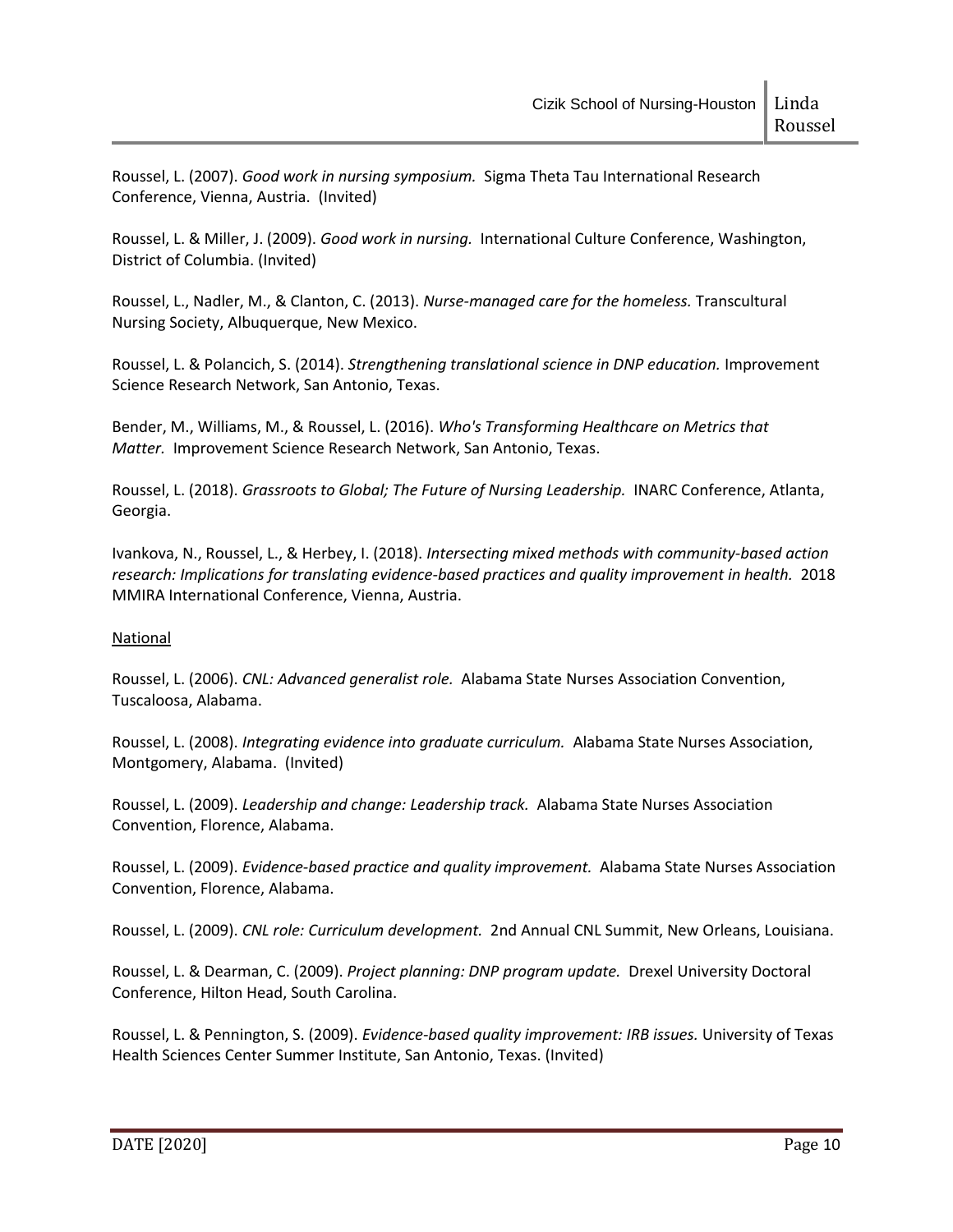Roussel, L. (2007). *Good work in nursing symposium.* Sigma Theta Tau International Research Conference, Vienna, Austria. (Invited)

Roussel, L. & Miller, J. (2009). *Good work in nursing.* International Culture Conference, Washington, District of Columbia. (Invited)

Roussel, L., Nadler, M., & Clanton, C. (2013). *Nurse-managed care for the homeless.* Transcultural Nursing Society, Albuquerque, New Mexico.

Roussel, L. & Polancich, S. (2014). *Strengthening translational science in DNP education.* Improvement Science Research Network, San Antonio, Texas.

Bender, M., Williams, M., & Roussel, L. (2016). *Who's Transforming Healthcare on Metrics that Matter.* Improvement Science Research Network, San Antonio, Texas.

Roussel, L. (2018). *Grassroots to Global; The Future of Nursing Leadership.* INARC Conference, Atlanta, Georgia.

Ivankova, N., Roussel, L., & Herbey, I. (2018). *Intersecting mixed methods with community-based action research: Implications for translating evidence-based practices and quality improvement in health.* 2018 MMIRA International Conference, Vienna, Austria.

## National

Roussel, L. (2006). *CNL: Advanced generalist role.* Alabama State Nurses Association Convention, Tuscaloosa, Alabama.

Roussel, L. (2008). *Integrating evidence into graduate curriculum.* Alabama State Nurses Association, Montgomery, Alabama. (Invited)

Roussel, L. (2009). *Leadership and change: Leadership track.* Alabama State Nurses Association Convention, Florence, Alabama.

Roussel, L. (2009). *Evidence-based practice and quality improvement.* Alabama State Nurses Association Convention, Florence, Alabama.

Roussel, L. (2009). *CNL role: Curriculum development.* 2nd Annual CNL Summit, New Orleans, Louisiana.

Roussel, L. & Dearman, C. (2009). *Project planning: DNP program update.* Drexel University Doctoral Conference, Hilton Head, South Carolina.

Roussel, L. & Pennington, S. (2009). *Evidence-based quality improvement: IRB issues.* University of Texas Health Sciences Center Summer Institute, San Antonio, Texas. (Invited)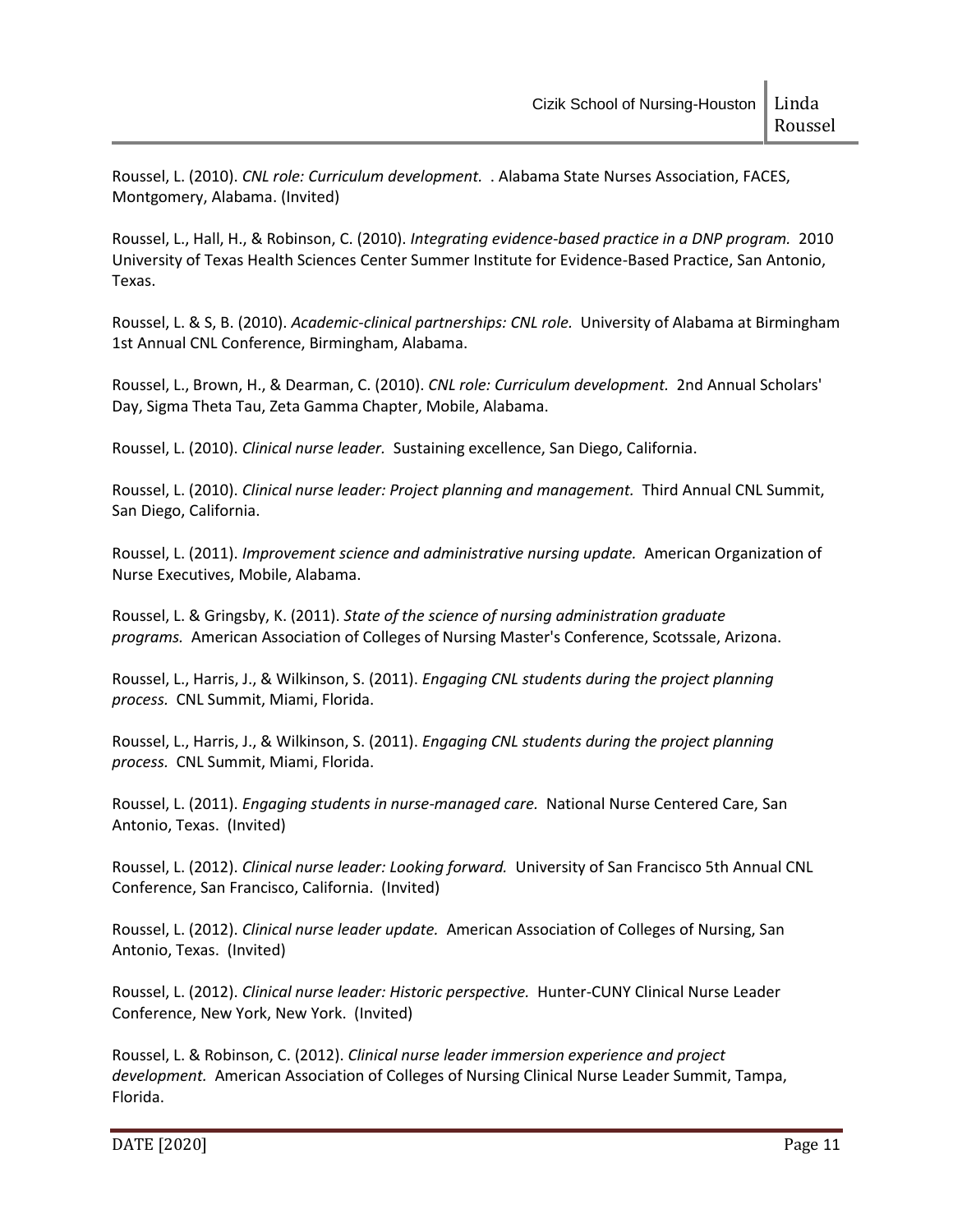Roussel, L. (2010). *CNL role: Curriculum development.* . Alabama State Nurses Association, FACES, Montgomery, Alabama. (Invited)

Roussel, L., Hall, H., & Robinson, C. (2010). *Integrating evidence-based practice in a DNP program.* 2010 University of Texas Health Sciences Center Summer Institute for Evidence-Based Practice, San Antonio, Texas.

Roussel, L. & S, B. (2010). *Academic-clinical partnerships: CNL role.* University of Alabama at Birmingham 1st Annual CNL Conference, Birmingham, Alabama.

Roussel, L., Brown, H., & Dearman, C. (2010). *CNL role: Curriculum development.* 2nd Annual Scholars' Day, Sigma Theta Tau, Zeta Gamma Chapter, Mobile, Alabama.

Roussel, L. (2010). *Clinical nurse leader.* Sustaining excellence, San Diego, California.

Roussel, L. (2010). *Clinical nurse leader: Project planning and management.* Third Annual CNL Summit, San Diego, California.

Roussel, L. (2011). *Improvement science and administrative nursing update.* American Organization of Nurse Executives, Mobile, Alabama.

Roussel, L. & Gringsby, K. (2011). *State of the science of nursing administration graduate programs.* American Association of Colleges of Nursing Master's Conference, Scotssale, Arizona.

Roussel, L., Harris, J., & Wilkinson, S. (2011). *Engaging CNL students during the project planning process.* CNL Summit, Miami, Florida.

Roussel, L., Harris, J., & Wilkinson, S. (2011). *Engaging CNL students during the project planning process.* CNL Summit, Miami, Florida.

Roussel, L. (2011). *Engaging students in nurse-managed care.* National Nurse Centered Care, San Antonio, Texas. (Invited)

Roussel, L. (2012). *Clinical nurse leader: Looking forward.* University of San Francisco 5th Annual CNL Conference, San Francisco, California. (Invited)

Roussel, L. (2012). *Clinical nurse leader update.* American Association of Colleges of Nursing, San Antonio, Texas. (Invited)

Roussel, L. (2012). *Clinical nurse leader: Historic perspective.* Hunter-CUNY Clinical Nurse Leader Conference, New York, New York. (Invited)

Roussel, L. & Robinson, C. (2012). *Clinical nurse leader immersion experience and project development.* American Association of Colleges of Nursing Clinical Nurse Leader Summit, Tampa, Florida.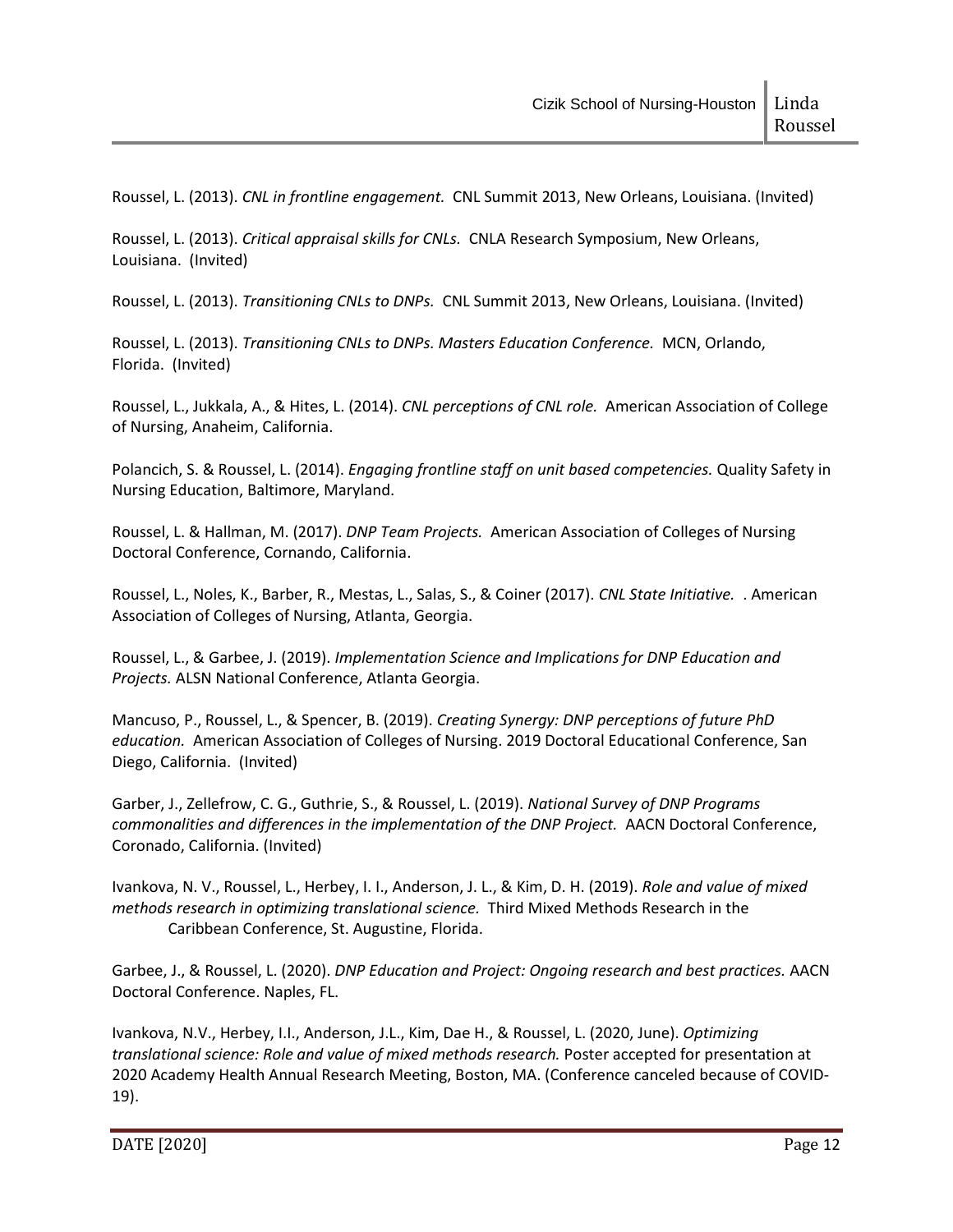Roussel, L. (2013). *CNL in frontline engagement.* CNL Summit 2013, New Orleans, Louisiana. (Invited)

Roussel, L. (2013). *Critical appraisal skills for CNLs.* CNLA Research Symposium, New Orleans, Louisiana. (Invited)

Roussel, L. (2013). *Transitioning CNLs to DNPs.* CNL Summit 2013, New Orleans, Louisiana. (Invited)

Roussel, L. (2013). *Transitioning CNLs to DNPs. Masters Education Conference.* MCN, Orlando, Florida. (Invited)

Roussel, L., Jukkala, A., & Hites, L. (2014). *CNL perceptions of CNL role.* American Association of College of Nursing, Anaheim, California.

Polancich, S. & Roussel, L. (2014). *Engaging frontline staff on unit based competencies.* Quality Safety in Nursing Education, Baltimore, Maryland.

Roussel, L. & Hallman, M. (2017). *DNP Team Projects.* American Association of Colleges of Nursing Doctoral Conference, Cornando, California.

Roussel, L., Noles, K., Barber, R., Mestas, L., Salas, S., & Coiner (2017). *CNL State Initiative.* . American Association of Colleges of Nursing, Atlanta, Georgia.

Roussel, L., & Garbee, J. (2019). *Implementation Science and Implications for DNP Education and Projects.* ALSN National Conference, Atlanta Georgia.

Mancuso, P., Roussel, L., & Spencer, B. (2019). *Creating Synergy: DNP perceptions of future PhD education.* American Association of Colleges of Nursing. 2019 Doctoral Educational Conference, San Diego, California. (Invited)

Garber, J., Zellefrow, C. G., Guthrie, S., & Roussel, L. (2019). *National Survey of DNP Programs commonalities and differences in the implementation of the DNP Project.* AACN Doctoral Conference, Coronado, California. (Invited)

Ivankova, N. V., Roussel, L., Herbey, I. I., Anderson, J. L., & Kim, D. H. (2019). *Role and value of mixed methods research in optimizing translational science.* Third Mixed Methods Research in the Caribbean Conference, St. Augustine, Florida.

Garbee, J., & Roussel, L. (2020). *DNP Education and Project: Ongoing research and best practices.* AACN Doctoral Conference. Naples, FL.

Ivankova, N.V., Herbey, I.I., Anderson, J.L., Kim, Dae H., & Roussel, L. (2020, June). *Optimizing translational science: Role and value of mixed methods research.* Poster accepted for presentation at 2020 Academy Health Annual Research Meeting, Boston, MA. (Conference canceled because of COVID-19).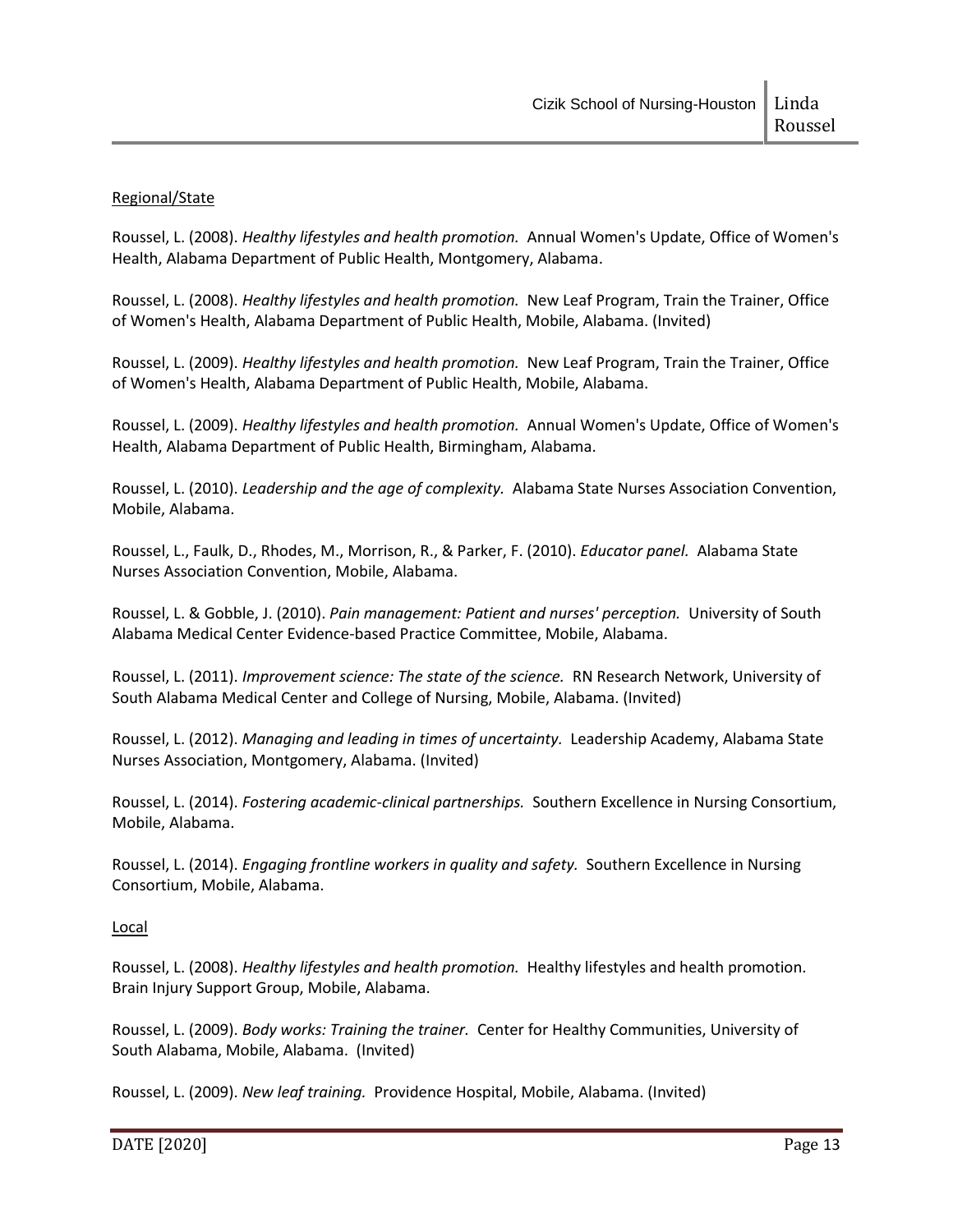## Regional/State

Roussel, L. (2008). *Healthy lifestyles and health promotion.* Annual Women's Update, Office of Women's Health, Alabama Department of Public Health, Montgomery, Alabama.

Roussel, L. (2008). *Healthy lifestyles and health promotion.* New Leaf Program, Train the Trainer, Office of Women's Health, Alabama Department of Public Health, Mobile, Alabama. (Invited)

Roussel, L. (2009). *Healthy lifestyles and health promotion.* New Leaf Program, Train the Trainer, Office of Women's Health, Alabama Department of Public Health, Mobile, Alabama.

Roussel, L. (2009). *Healthy lifestyles and health promotion.* Annual Women's Update, Office of Women's Health, Alabama Department of Public Health, Birmingham, Alabama.

Roussel, L. (2010). *Leadership and the age of complexity.* Alabama State Nurses Association Convention, Mobile, Alabama.

Roussel, L., Faulk, D., Rhodes, M., Morrison, R., & Parker, F. (2010). *Educator panel.* Alabama State Nurses Association Convention, Mobile, Alabama.

Roussel, L. & Gobble, J. (2010). *Pain management: Patient and nurses' perception.* University of South Alabama Medical Center Evidence-based Practice Committee, Mobile, Alabama.

Roussel, L. (2011). *Improvement science: The state of the science.* RN Research Network, University of South Alabama Medical Center and College of Nursing, Mobile, Alabama. (Invited)

Roussel, L. (2012). *Managing and leading in times of uncertainty.* Leadership Academy, Alabama State Nurses Association, Montgomery, Alabama. (Invited)

Roussel, L. (2014). *Fostering academic-clinical partnerships.* Southern Excellence in Nursing Consortium, Mobile, Alabama.

Roussel, L. (2014). *Engaging frontline workers in quality and safety.* Southern Excellence in Nursing Consortium, Mobile, Alabama.

Local

Roussel, L. (2008). *Healthy lifestyles and health promotion.* Healthy lifestyles and health promotion. Brain Injury Support Group, Mobile, Alabama.

Roussel, L. (2009). *Body works: Training the trainer.* Center for Healthy Communities, University of South Alabama, Mobile, Alabama. (Invited)

Roussel, L. (2009). *New leaf training.* Providence Hospital, Mobile, Alabama. (Invited)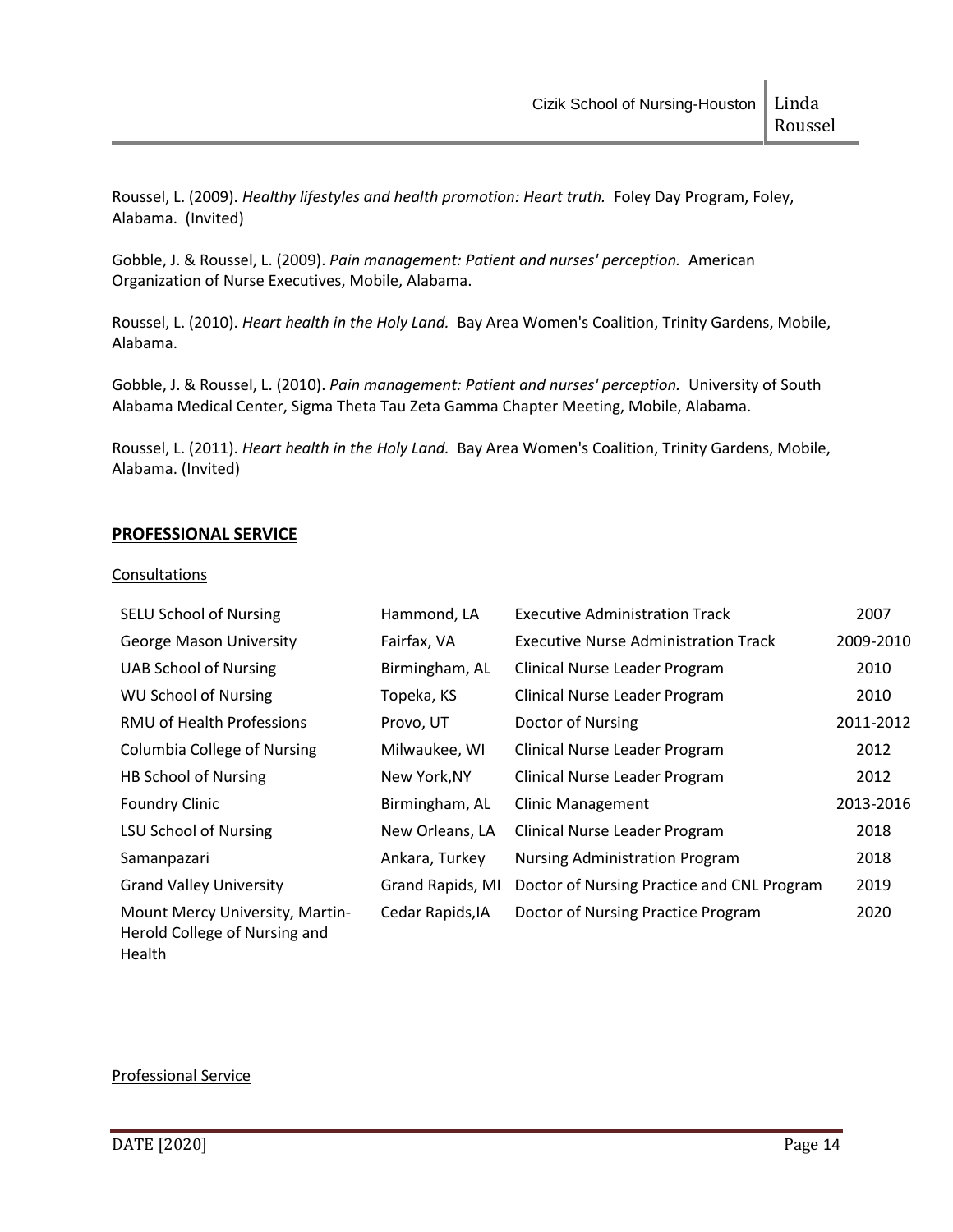Roussel, L. (2009). *Healthy lifestyles and health promotion: Heart truth.* Foley Day Program, Foley, Alabama. (Invited)

Gobble, J. & Roussel, L. (2009). *Pain management: Patient and nurses' perception.* American Organization of Nurse Executives, Mobile, Alabama.

Roussel, L. (2010). *Heart health in the Holy Land.* Bay Area Women's Coalition, Trinity Gardens, Mobile, Alabama.

Gobble, J. & Roussel, L. (2010). *Pain management: Patient and nurses' perception.* University of South Alabama Medical Center, Sigma Theta Tau Zeta Gamma Chapter Meeting, Mobile, Alabama.

Roussel, L. (2011). *Heart health in the Holy Land.* Bay Area Women's Coalition, Trinity Gardens, Mobile, Alabama. (Invited)

## **PROFESSIONAL SERVICE**

#### **Consultations**

| <b>SELU School of Nursing</b>                                    | Hammond, LA      | <b>Executive Administration Track</b>       | 2007      |
|------------------------------------------------------------------|------------------|---------------------------------------------|-----------|
| <b>George Mason University</b>                                   | Fairfax, VA      | <b>Executive Nurse Administration Track</b> | 2009-2010 |
| <b>UAB School of Nursing</b>                                     | Birmingham, AL   | Clinical Nurse Leader Program               | 2010      |
| <b>WU School of Nursing</b>                                      | Topeka, KS       | Clinical Nurse Leader Program               | 2010      |
| RMU of Health Professions                                        | Provo, UT        | Doctor of Nursing                           | 2011-2012 |
| <b>Columbia College of Nursing</b>                               | Milwaukee, WI    | Clinical Nurse Leader Program               | 2012      |
| <b>HB School of Nursing</b>                                      | New York, NY     | Clinical Nurse Leader Program               | 2012      |
| <b>Foundry Clinic</b>                                            | Birmingham, AL   | <b>Clinic Management</b>                    | 2013-2016 |
| <b>LSU School of Nursing</b>                                     | New Orleans, LA  | Clinical Nurse Leader Program               | 2018      |
| Samanpazari                                                      | Ankara, Turkey   | <b>Nursing Administration Program</b>       | 2018      |
| <b>Grand Valley University</b>                                   | Grand Rapids, MI | Doctor of Nursing Practice and CNL Program  | 2019      |
| Mount Mercy University, Martin-<br>Herold College of Nursing and | Cedar Rapids, IA | Doctor of Nursing Practice Program          | 2020      |

## Professional Service

Health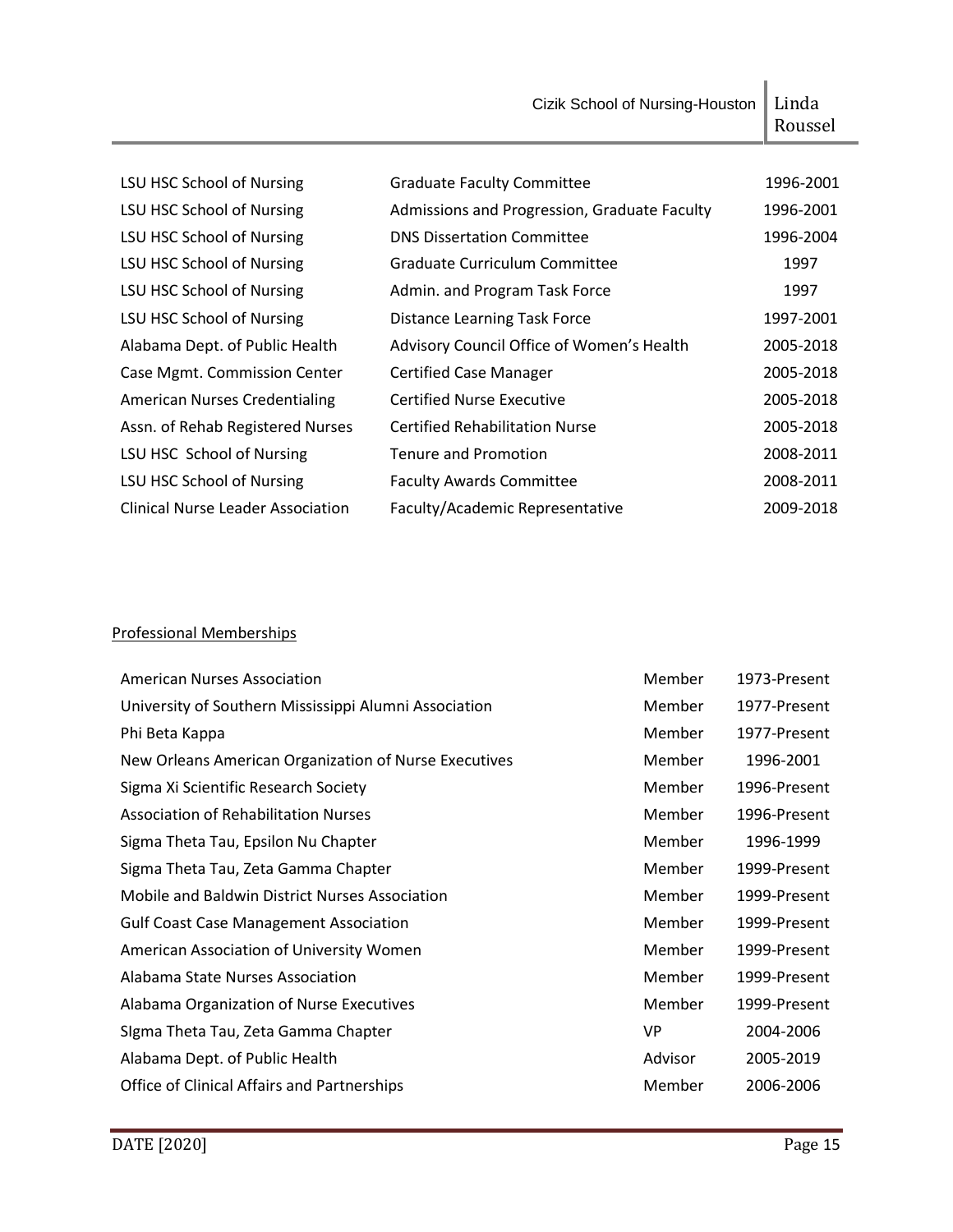Cizik School of Nursing-Houston | Linda Roussel

| LSU HSC School of Nursing                | <b>Graduate Faculty Committee</b>            | 1996-2001 |
|------------------------------------------|----------------------------------------------|-----------|
| LSU HSC School of Nursing                | Admissions and Progression, Graduate Faculty | 1996-2001 |
| LSU HSC School of Nursing                | <b>DNS Dissertation Committee</b>            | 1996-2004 |
| LSU HSC School of Nursing                | Graduate Curriculum Committee                | 1997      |
| LSU HSC School of Nursing                | Admin. and Program Task Force                | 1997      |
| LSU HSC School of Nursing                | <b>Distance Learning Task Force</b>          | 1997-2001 |
| Alabama Dept. of Public Health           | Advisory Council Office of Women's Health    | 2005-2018 |
| Case Mgmt. Commission Center             | <b>Certified Case Manager</b>                | 2005-2018 |
| <b>American Nurses Credentialing</b>     | <b>Certified Nurse Executive</b>             | 2005-2018 |
| Assn. of Rehab Registered Nurses         | <b>Certified Rehabilitation Nurse</b>        | 2005-2018 |
| LSU HSC School of Nursing                | <b>Tenure and Promotion</b>                  | 2008-2011 |
| LSU HSC School of Nursing                | <b>Faculty Awards Committee</b>              | 2008-2011 |
| <b>Clinical Nurse Leader Association</b> | Faculty/Academic Representative              | 2009-2018 |

# Professional Memberships

| <b>American Nurses Association</b>                    | Member    | 1973-Present |
|-------------------------------------------------------|-----------|--------------|
| University of Southern Mississippi Alumni Association | Member    | 1977-Present |
| Phi Beta Kappa                                        | Member    | 1977-Present |
| New Orleans American Organization of Nurse Executives | Member    | 1996-2001    |
| Sigma Xi Scientific Research Society                  | Member    | 1996-Present |
| <b>Association of Rehabilitation Nurses</b>           | Member    | 1996-Present |
| Sigma Theta Tau, Epsilon Nu Chapter                   | Member    | 1996-1999    |
| Sigma Theta Tau, Zeta Gamma Chapter                   | Member    | 1999-Present |
| Mobile and Baldwin District Nurses Association        | Member    | 1999-Present |
| <b>Gulf Coast Case Management Association</b>         | Member    | 1999-Present |
| American Association of University Women              | Member    | 1999-Present |
| Alabama State Nurses Association                      | Member    | 1999-Present |
| Alabama Organization of Nurse Executives              | Member    | 1999-Present |
| Sigma Theta Tau, Zeta Gamma Chapter                   | <b>VP</b> | 2004-2006    |
| Alabama Dept. of Public Health                        | Advisor   | 2005-2019    |
| <b>Office of Clinical Affairs and Partnerships</b>    | Member    | 2006-2006    |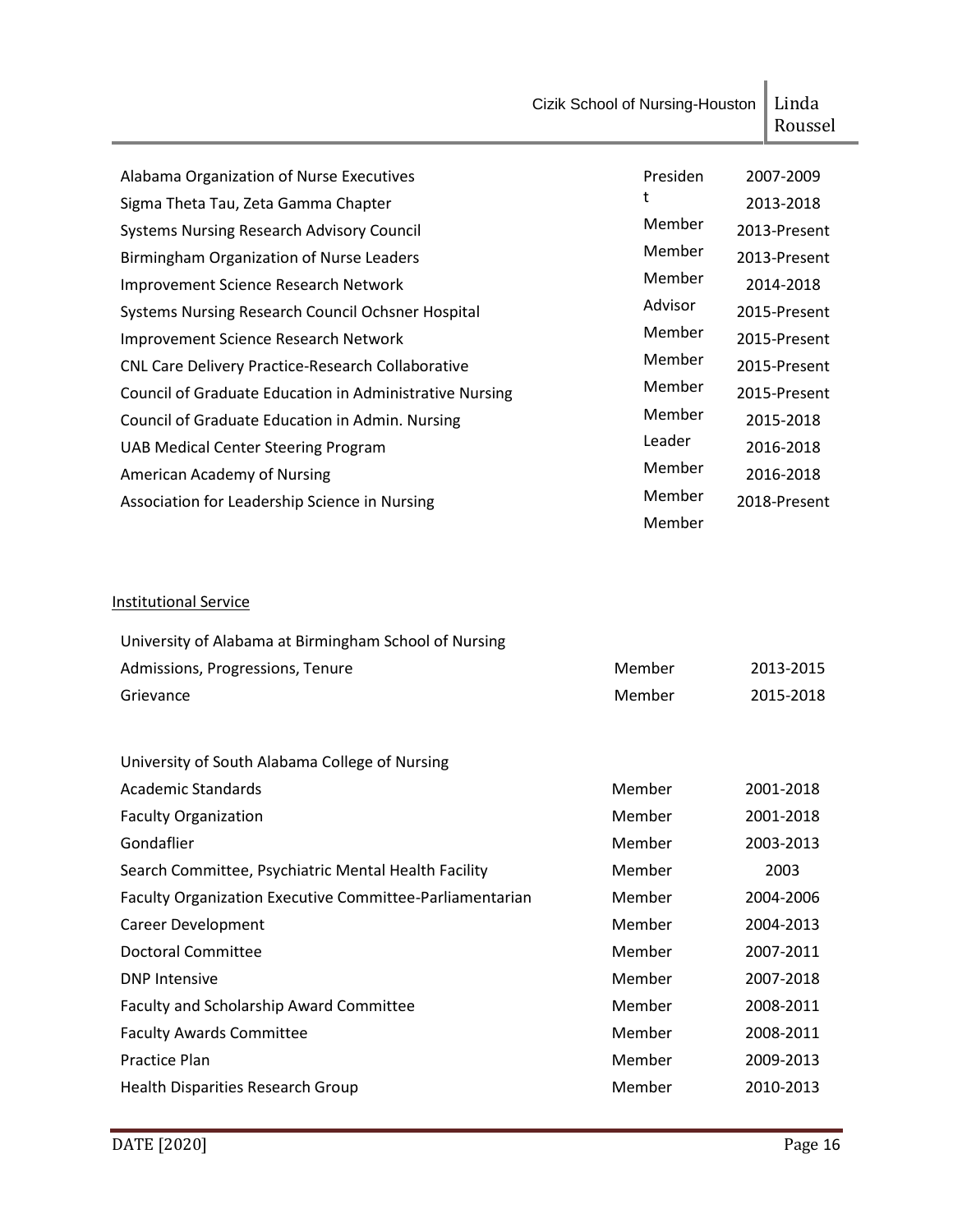|                                                          | Cizik School of Nursing-Houston | Linda<br>Roussel |
|----------------------------------------------------------|---------------------------------|------------------|
| Alabama Organization of Nurse Executives                 | Presiden                        | 2007-2009        |
| Sigma Theta Tau, Zeta Gamma Chapter                      | t                               | 2013-2018        |
| <b>Systems Nursing Research Advisory Council</b>         | Member                          | 2013-Present     |
| Birmingham Organization of Nurse Leaders                 | Member                          | 2013-Present     |
| Improvement Science Research Network                     | Member                          | 2014-2018        |
| Systems Nursing Research Council Ochsner Hospital        | Advisor                         | 2015-Present     |
| Improvement Science Research Network                     | Member                          | 2015-Present     |
| CNL Care Delivery Practice-Research Collaborative        | Member                          | 2015-Present     |
| Council of Graduate Education in Administrative Nursing  | Member                          | 2015-Present     |
| Council of Graduate Education in Admin. Nursing          | Member                          | 2015-2018        |
| <b>UAB Medical Center Steering Program</b>               | Leader                          | 2016-2018        |
| American Academy of Nursing                              | Member                          | 2016-2018        |
| Association for Leadership Science in Nursing            | Member<br>Member                | 2018-Present     |
| <b>Institutional Service</b>                             |                                 |                  |
| University of Alabama at Birmingham School of Nursing    |                                 |                  |
| Admissions, Progressions, Tenure                         | Member                          | 2013-2015        |
| Grievance                                                | Member                          | 2015-2018        |
| University of South Alabama College of Nursing           |                                 |                  |
| <b>Academic Standards</b>                                | Member                          | 2001-2018        |
| <b>Faculty Organization</b>                              | Member                          | 2001-2018        |
| Gondaflier                                               | Member                          | 2003-2013        |
| Search Committee, Psychiatric Mental Health Facility     | Member                          | 2003             |
| Faculty Organization Executive Committee-Parliamentarian | Member                          | 2004-2006        |
| <b>Career Development</b>                                | Member                          | 2004-2013        |
| <b>Doctoral Committee</b>                                | Member                          | 2007-2011        |
| <b>DNP Intensive</b>                                     | Member                          | 2007-2018        |
| Faculty and Scholarship Award Committee                  | Member                          | 2008-2011        |
| <b>Faculty Awards Committee</b>                          | Member                          | 2008-2011        |
| <b>Practice Plan</b>                                     | Member                          | 2009-2013        |
| Health Disparities Research Group                        | Member                          | 2010-2013        |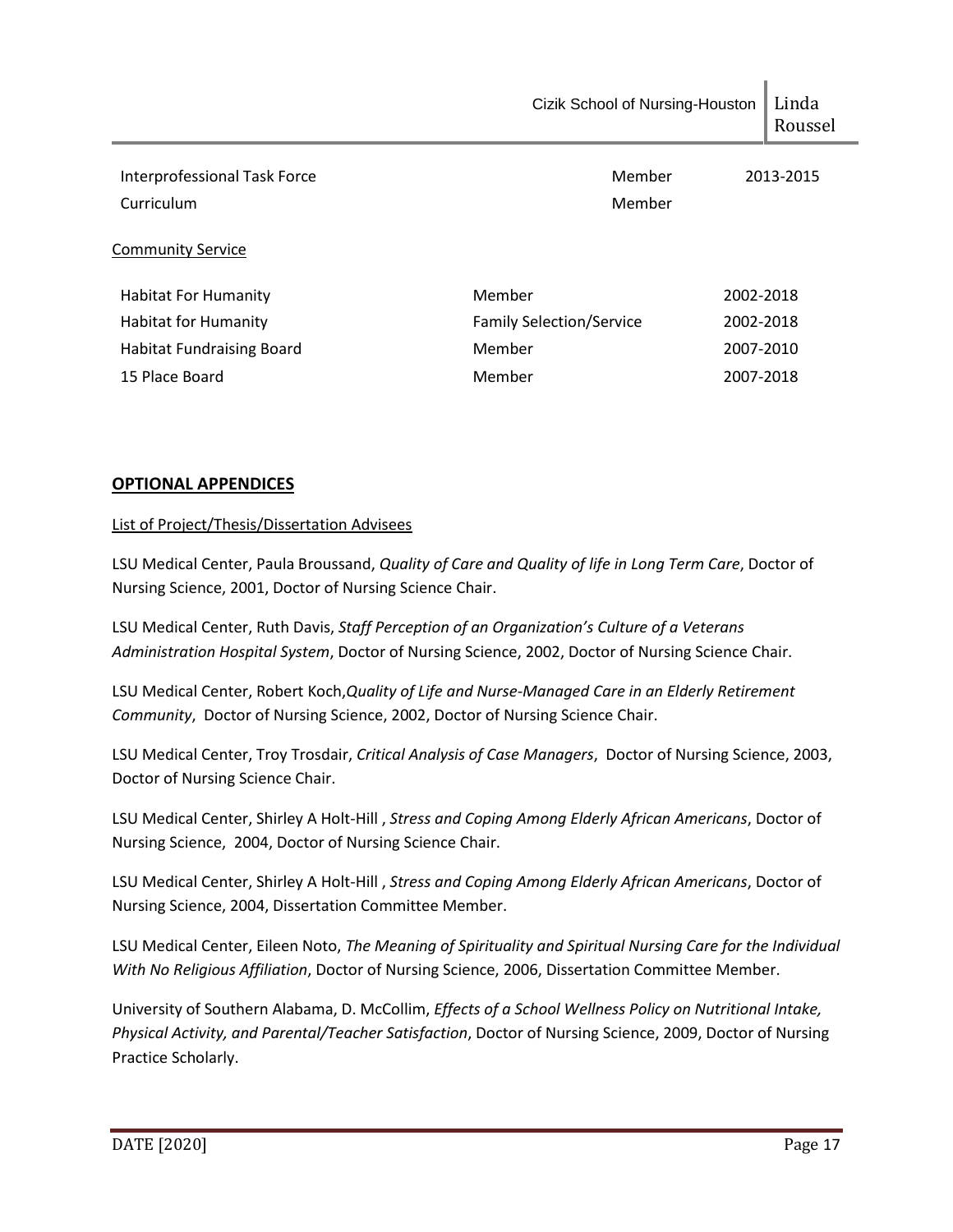|                                            | Cizik School of Nursing-Houston              | Linda<br>Roussel |
|--------------------------------------------|----------------------------------------------|------------------|
| Interprofessional Task Force<br>Curriculum | Member<br>Member                             | 2013-2015        |
| <b>Community Service</b>                   |                                              |                  |
| <b>Habitat For Humanity</b>                | Member<br>2002-2018                          |                  |
| <b>Habitat for Humanity</b>                | <b>Family Selection/Service</b><br>2002-2018 |                  |
| <b>Habitat Fundraising Board</b>           | Member<br>2007-2010                          |                  |
| 15 Place Board                             | Member<br>2007-2018                          |                  |
|                                            |                                              |                  |

# **OPTIONAL APPENDICES**

## List of Project/Thesis/Dissertation Advisees

LSU Medical Center, Paula Broussand, *Quality of Care and Quality of life in Long Term Care*, Doctor of Nursing Science, 2001, Doctor of Nursing Science Chair.

LSU Medical Center, Ruth Davis, *Staff Perception of an Organization's Culture of a Veterans Administration Hospital System*, Doctor of Nursing Science, 2002, Doctor of Nursing Science Chair.

LSU Medical Center, Robert Koch,*Quality of Life and Nurse-Managed Care in an Elderly Retirement Community*, Doctor of Nursing Science, 2002, Doctor of Nursing Science Chair.

LSU Medical Center, Troy Trosdair, *Critical Analysis of Case Managers*, Doctor of Nursing Science, 2003, Doctor of Nursing Science Chair.

LSU Medical Center, Shirley A Holt-Hill , *Stress and Coping Among Elderly African Americans*, Doctor of Nursing Science, 2004, Doctor of Nursing Science Chair.

LSU Medical Center, Shirley A Holt-Hill , *Stress and Coping Among Elderly African Americans*, Doctor of Nursing Science, 2004, Dissertation Committee Member.

LSU Medical Center, Eileen Noto, *The Meaning of Spirituality and Spiritual Nursing Care for the Individual With No Religious Affiliation*, Doctor of Nursing Science, 2006, Dissertation Committee Member.

University of Southern Alabama, D. McCollim, *Effects of a School Wellness Policy on Nutritional Intake, Physical Activity, and Parental/Teacher Satisfaction*, Doctor of Nursing Science, 2009, Doctor of Nursing Practice Scholarly.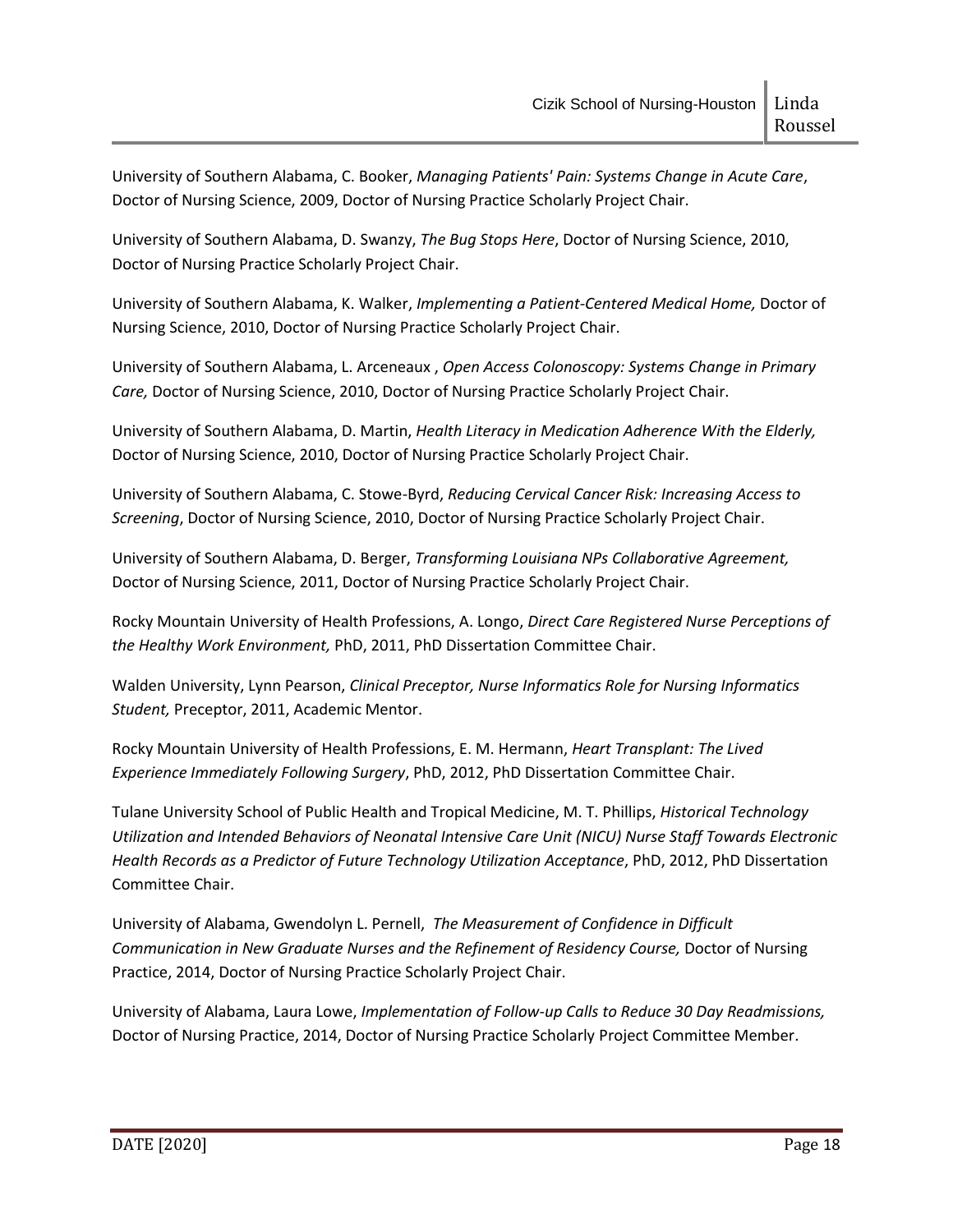University of Southern Alabama, C. Booker, *Managing Patients' Pain: Systems Change in Acute Care*, Doctor of Nursing Science, 2009, Doctor of Nursing Practice Scholarly Project Chair.

University of Southern Alabama, D. Swanzy, *The Bug Stops Here*, Doctor of Nursing Science, 2010, Doctor of Nursing Practice Scholarly Project Chair.

University of Southern Alabama, K. Walker, *Implementing a Patient-Centered Medical Home,* Doctor of Nursing Science, 2010, Doctor of Nursing Practice Scholarly Project Chair.

University of Southern Alabama, L. Arceneaux , *Open Access Colonoscopy: Systems Change in Primary Care,* Doctor of Nursing Science, 2010, Doctor of Nursing Practice Scholarly Project Chair.

University of Southern Alabama, D. Martin, *Health Literacy in Medication Adherence With the Elderly,*  Doctor of Nursing Science, 2010, Doctor of Nursing Practice Scholarly Project Chair.

University of Southern Alabama, C. Stowe-Byrd, *Reducing Cervical Cancer Risk: Increasing Access to Screening*, Doctor of Nursing Science, 2010, Doctor of Nursing Practice Scholarly Project Chair.

University of Southern Alabama, D. Berger, *Transforming Louisiana NPs Collaborative Agreement,*  Doctor of Nursing Science, 2011, Doctor of Nursing Practice Scholarly Project Chair.

Rocky Mountain University of Health Professions, A. Longo, *Direct Care Registered Nurse Perceptions of the Healthy Work Environment,* PhD, 2011, PhD Dissertation Committee Chair.

Walden University, Lynn Pearson, *Clinical Preceptor, Nurse Informatics Role for Nursing Informatics Student,* Preceptor, 2011, Academic Mentor.

Rocky Mountain University of Health Professions, E. M. Hermann, *Heart Transplant: The Lived Experience Immediately Following Surgery*, PhD, 2012, PhD Dissertation Committee Chair.

Tulane University School of Public Health and Tropical Medicine, M. T. Phillips, *Historical Technology Utilization and Intended Behaviors of Neonatal Intensive Care Unit (NICU) Nurse Staff Towards Electronic Health Records as a Predictor of Future Technology Utilization Acceptance*, PhD, 2012, PhD Dissertation Committee Chair.

University of Alabama, Gwendolyn L. Pernell, *The Measurement of Confidence in Difficult*  Communication in New Graduate Nurses and the Refinement of Residency Course, Doctor of Nursing Practice, 2014, Doctor of Nursing Practice Scholarly Project Chair.

University of Alabama, Laura Lowe, *Implementation of Follow-up Calls to Reduce 30 Day Readmissions,*  Doctor of Nursing Practice, 2014, Doctor of Nursing Practice Scholarly Project Committee Member.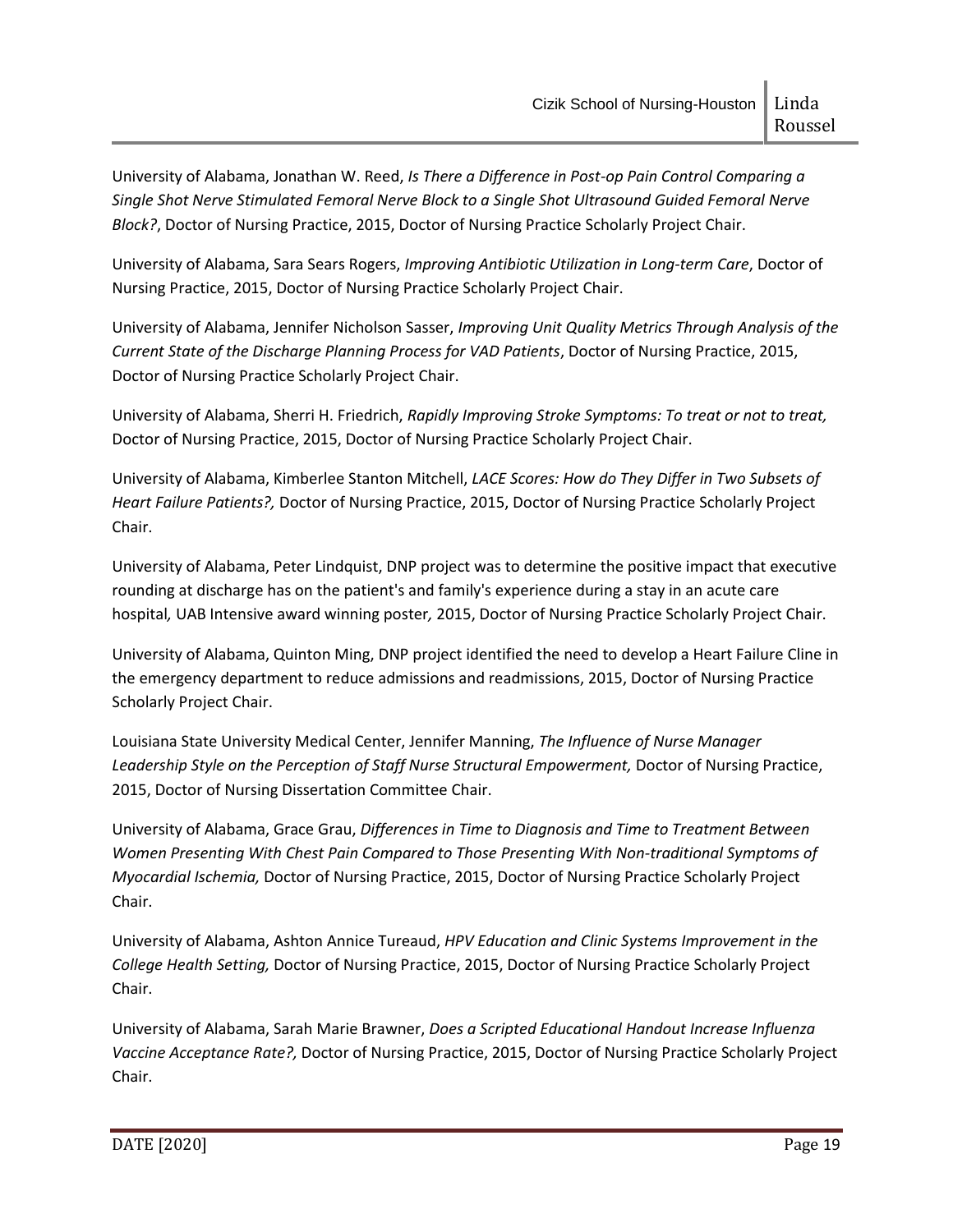University of Alabama, Jonathan W. Reed, *Is There a Difference in Post-op Pain Control Comparing a Single Shot Nerve Stimulated Femoral Nerve Block to a Single Shot Ultrasound Guided Femoral Nerve Block?*, Doctor of Nursing Practice, 2015, Doctor of Nursing Practice Scholarly Project Chair.

University of Alabama, Sara Sears Rogers, *Improving Antibiotic Utilization in Long-term Care*, Doctor of Nursing Practice, 2015, Doctor of Nursing Practice Scholarly Project Chair.

University of Alabama, Jennifer Nicholson Sasser, *Improving Unit Quality Metrics Through Analysis of the Current State of the Discharge Planning Process for VAD Patients*, Doctor of Nursing Practice, 2015, Doctor of Nursing Practice Scholarly Project Chair.

University of Alabama, Sherri H. Friedrich, *Rapidly Improving Stroke Symptoms: To treat or not to treat,*  Doctor of Nursing Practice, 2015, Doctor of Nursing Practice Scholarly Project Chair.

University of Alabama, Kimberlee Stanton Mitchell, *LACE Scores: How do They Differ in Two Subsets of Heart Failure Patients?,* Doctor of Nursing Practice, 2015, Doctor of Nursing Practice Scholarly Project Chair.

University of Alabama, Peter Lindquist, DNP project was to determine the positive impact that executive rounding at discharge has on the patient's and family's experience during a stay in an acute care hospital*,* UAB Intensive award winning poster*,* 2015, Doctor of Nursing Practice Scholarly Project Chair.

University of Alabama, Quinton Ming, DNP project identified the need to develop a Heart Failure Cline in the emergency department to reduce admissions and readmissions, 2015, Doctor of Nursing Practice Scholarly Project Chair.

Louisiana State University Medical Center, Jennifer Manning, *The Influence of Nurse Manager*  Leadership Style on the Perception of Staff Nurse Structural Empowerment, Doctor of Nursing Practice, 2015, Doctor of Nursing Dissertation Committee Chair.

University of Alabama, Grace Grau, *Differences in Time to Diagnosis and Time to Treatment Between Women Presenting With Chest Pain Compared to Those Presenting With Non-traditional Symptoms of Myocardial Ischemia,* Doctor of Nursing Practice, 2015, Doctor of Nursing Practice Scholarly Project Chair.

University of Alabama, Ashton Annice Tureaud, *HPV Education and Clinic Systems Improvement in the College Health Setting,* Doctor of Nursing Practice, 2015, Doctor of Nursing Practice Scholarly Project Chair.

University of Alabama, Sarah Marie Brawner, *Does a Scripted Educational Handout Increase Influenza Vaccine Acceptance Rate?,* Doctor of Nursing Practice, 2015, Doctor of Nursing Practice Scholarly Project Chair.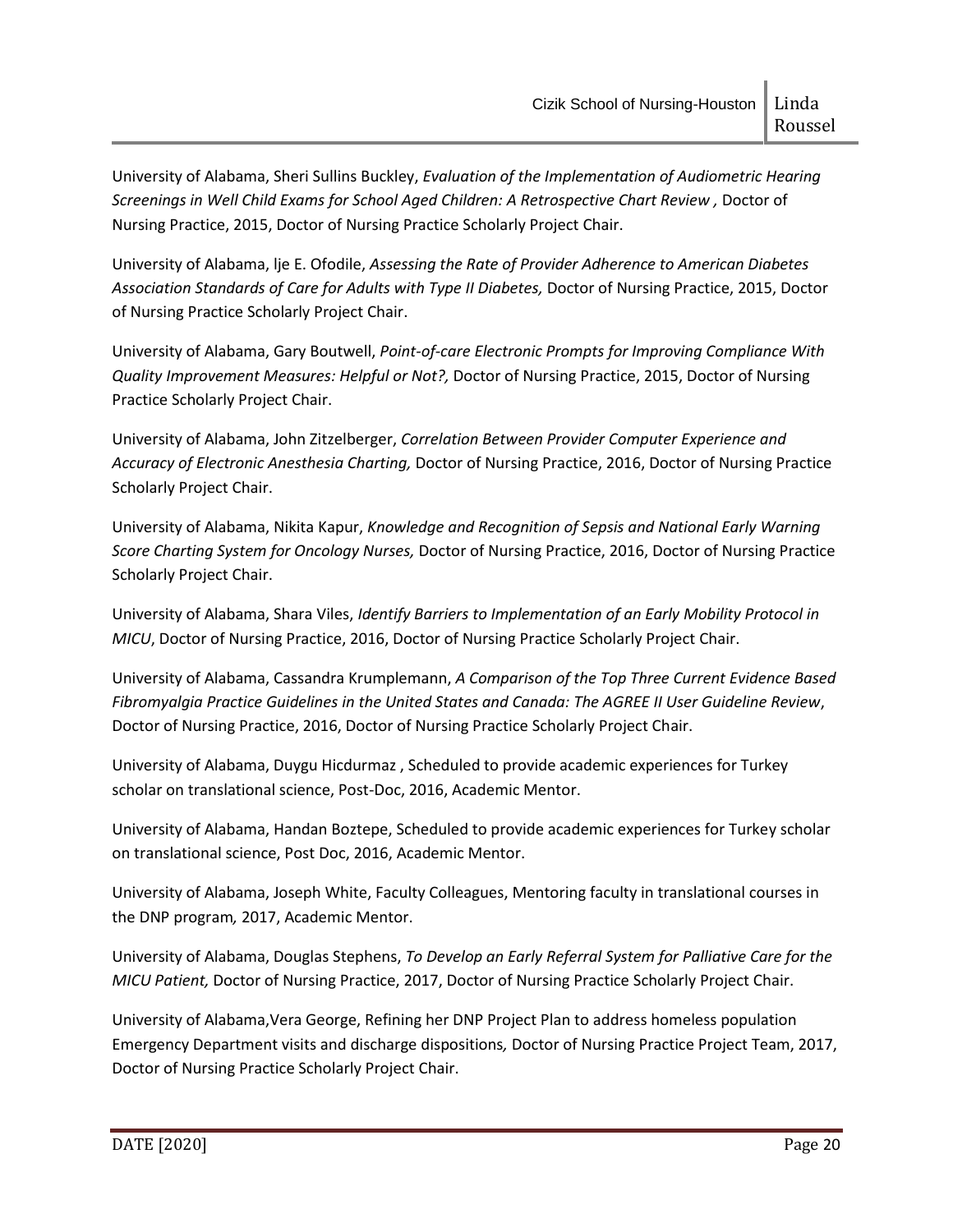University of Alabama, Sheri Sullins Buckley, *Evaluation of the Implementation of Audiometric Hearing Screenings in Well Child Exams for School Aged Children: A Retrospective Chart Review ,* Doctor of Nursing Practice, 2015, Doctor of Nursing Practice Scholarly Project Chair.

University of Alabama, lje E. Ofodile, *Assessing the Rate of Provider Adherence to American Diabetes Association Standards of Care for Adults with Type II Diabetes,* Doctor of Nursing Practice, 2015, Doctor of Nursing Practice Scholarly Project Chair.

University of Alabama, Gary Boutwell, *Point-of-care Electronic Prompts for Improving Compliance With Quality Improvement Measures: Helpful or Not?,* Doctor of Nursing Practice, 2015, Doctor of Nursing Practice Scholarly Project Chair.

University of Alabama, John Zitzelberger, *Correlation Between Provider Computer Experience and Accuracy of Electronic Anesthesia Charting,* Doctor of Nursing Practice, 2016, Doctor of Nursing Practice Scholarly Project Chair.

University of Alabama, Nikita Kapur, *Knowledge and Recognition of Sepsis and National Early Warning Score Charting System for Oncology Nurses,* Doctor of Nursing Practice, 2016, Doctor of Nursing Practice Scholarly Project Chair.

University of Alabama, Shara Viles, *Identify Barriers to Implementation of an Early Mobility Protocol in MICU*, Doctor of Nursing Practice, 2016, Doctor of Nursing Practice Scholarly Project Chair.

University of Alabama, Cassandra Krumplemann, *A Comparison of the Top Three Current Evidence Based Fibromyalgia Practice Guidelines in the United States and Canada: The AGREE II User Guideline Review*, Doctor of Nursing Practice, 2016, Doctor of Nursing Practice Scholarly Project Chair.

University of Alabama, Duygu Hicdurmaz , Scheduled to provide academic experiences for Turkey scholar on translational science, Post-Doc, 2016, Academic Mentor.

University of Alabama, Handan Boztepe, Scheduled to provide academic experiences for Turkey scholar on translational science, Post Doc, 2016, Academic Mentor.

University of Alabama, Joseph White, Faculty Colleagues, Mentoring faculty in translational courses in the DNP program*,* 2017, Academic Mentor.

University of Alabama, Douglas Stephens, *To Develop an Early Referral System for Palliative Care for the MICU Patient,* Doctor of Nursing Practice, 2017, Doctor of Nursing Practice Scholarly Project Chair.

University of Alabama,Vera George, Refining her DNP Project Plan to address homeless population Emergency Department visits and discharge dispositions*,* Doctor of Nursing Practice Project Team, 2017, Doctor of Nursing Practice Scholarly Project Chair.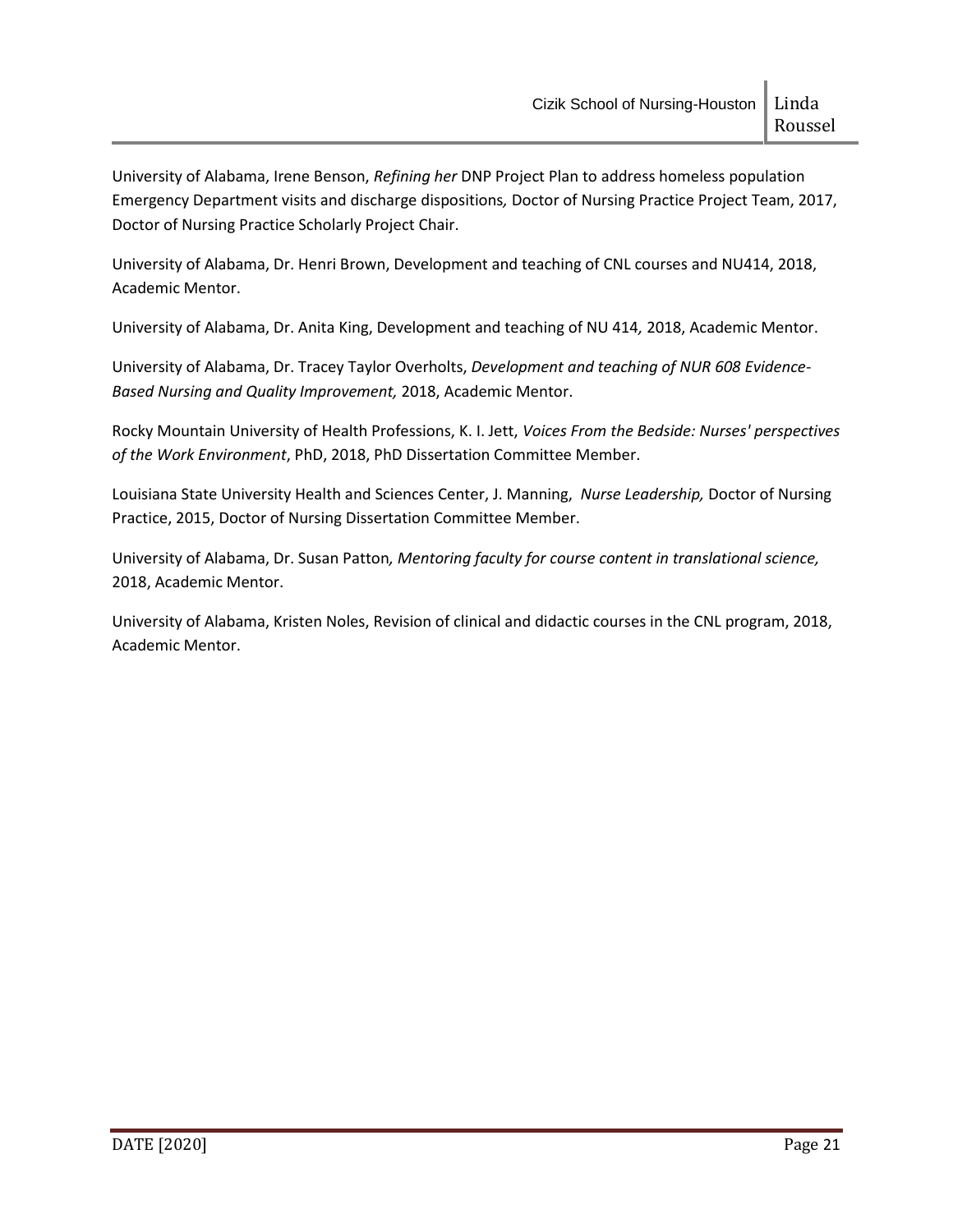University of Alabama, Irene Benson, *Refining her* DNP Project Plan to address homeless population Emergency Department visits and discharge dispositions*,* Doctor of Nursing Practice Project Team, 2017, Doctor of Nursing Practice Scholarly Project Chair.

University of Alabama, Dr. Henri Brown, Development and teaching of CNL courses and NU414, 2018, Academic Mentor.

University of Alabama, Dr. Anita King, Development and teaching of NU 414*,* 2018, Academic Mentor.

University of Alabama, Dr. Tracey Taylor Overholts, *Development and teaching of NUR 608 Evidence-Based Nursing and Quality Improvement,* 2018, Academic Mentor.

Rocky Mountain University of Health Professions, K. I. Jett, *Voices From the Bedside: Nurses' perspectives of the Work Environment*, PhD, 2018, PhD Dissertation Committee Member.

Louisiana State University Health and Sciences Center, J. Manning, *Nurse Leadership,* Doctor of Nursing Practice, 2015, Doctor of Nursing Dissertation Committee Member.

University of Alabama, Dr. Susan Patton*, Mentoring faculty for course content in translational science,*  2018, Academic Mentor.

University of Alabama, Kristen Noles, Revision of clinical and didactic courses in the CNL program, 2018, Academic Mentor.